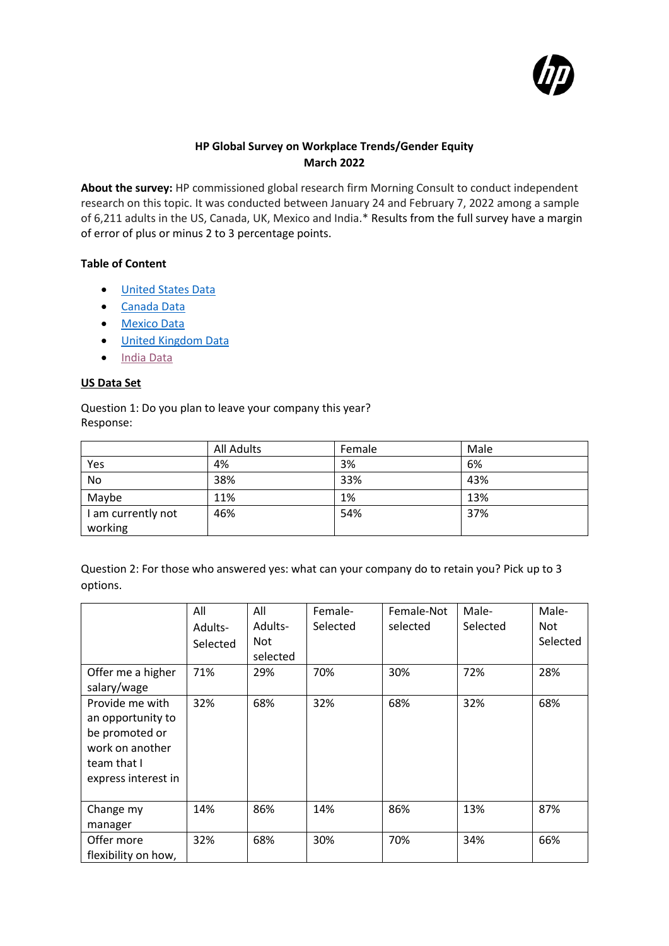

## **HP Global Survey on Workplace Trends/Gender Equity March 2022**

**About the survey:** HP commissioned global research firm Morning Consult to conduct independent research on this topic. It was conducted between January 24 and February 7, 2022 among a sample of 6,211 adults in the US, Canada, UK, Mexico and India.\* Results from the full survey have a margin of error of plus or minus 2 to 3 percentage points.

### **Table of Content**

- [United](#page-0-0) States Data
- [Canada](#page-5-0) Data
- [Mexico](#page-11-0) Data
- United [Kingdom](#page-17-0) Data
- [India](#page-22-0) Data

### <span id="page-0-0"></span>**US Data Set**

Question 1: Do you plan to leave your company this year? Response:

|                    | <b>All Adults</b> | Female | Male |
|--------------------|-------------------|--------|------|
| Yes                | 4%                | 3%     | 6%   |
| <b>No</b>          | 38%               | 33%    | 43%  |
| Maybe              | 11%               | 1%     | 13%  |
| I am currently not | 46%               | 54%    | 37%  |
| working            |                   |        |      |

| Question 2: For those who answered yes: what can your company do to retain you? Pick up to 3 |  |  |
|----------------------------------------------------------------------------------------------|--|--|
| options.                                                                                     |  |  |

|                                                                                                                 | All<br>Adults-<br>Selected | All<br>Adults-<br><b>Not</b><br>selected | Female-<br>Selected | Female-Not<br>selected | Male-<br>Selected | Male-<br><b>Not</b><br>Selected |
|-----------------------------------------------------------------------------------------------------------------|----------------------------|------------------------------------------|---------------------|------------------------|-------------------|---------------------------------|
| Offer me a higher<br>salary/wage                                                                                | 71%                        | 29%                                      | 70%                 | 30%                    | 72%               | 28%                             |
| Provide me with<br>an opportunity to<br>be promoted or<br>work on another<br>team that I<br>express interest in | 32%                        | 68%                                      | 32%                 | 68%                    | 32%               | 68%                             |
| Change my<br>manager                                                                                            | 14%                        | 86%                                      | 14%                 | 86%                    | 13%               | 87%                             |
| Offer more<br>flexibility on how,                                                                               | 32%                        | 68%                                      | 30%                 | 70%                    | 34%               | 66%                             |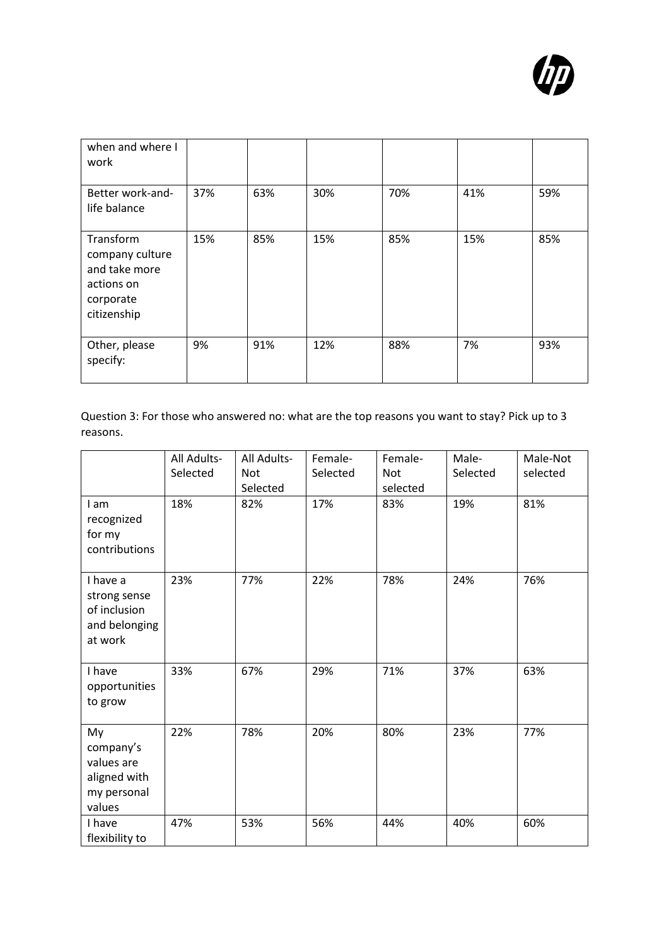

| when and where I<br>work                                                                |     |     |     |     |     |     |
|-----------------------------------------------------------------------------------------|-----|-----|-----|-----|-----|-----|
| Better work-and-<br>life balance                                                        | 37% | 63% | 30% | 70% | 41% | 59% |
| Transform<br>company culture<br>and take more<br>actions on<br>corporate<br>citizenship | 15% | 85% | 15% | 85% | 15% | 85% |
| Other, please<br>specify:                                                               | 9%  | 91% | 12% | 88% | 7%  | 93% |

Question 3: For those who answered no: what are the top reasons you want to stay? Pick up to 3 reasons.

|                                                                        | All Adults-<br>Selected | All Adults-<br><b>Not</b><br>Selected | Female-<br>Selected | Female-<br><b>Not</b><br>selected | Male-<br>Selected | Male-Not<br>selected |
|------------------------------------------------------------------------|-------------------------|---------------------------------------|---------------------|-----------------------------------|-------------------|----------------------|
| I am<br>recognized<br>for my<br>contributions                          | 18%                     | 82%                                   | 17%                 | 83%                               | 19%               | 81%                  |
| I have a<br>strong sense<br>of inclusion<br>and belonging<br>at work   | 23%                     | 77%                                   | 22%                 | 78%                               | 24%               | 76%                  |
| I have<br>opportunities<br>to grow                                     | 33%                     | 67%                                   | 29%                 | 71%                               | 37%               | 63%                  |
| My<br>company's<br>values are<br>aligned with<br>my personal<br>values | 22%                     | 78%                                   | 20%                 | 80%                               | 23%               | 77%                  |
| I have<br>flexibility to                                               | 47%                     | 53%                                   | 56%                 | 44%                               | 40%               | 60%                  |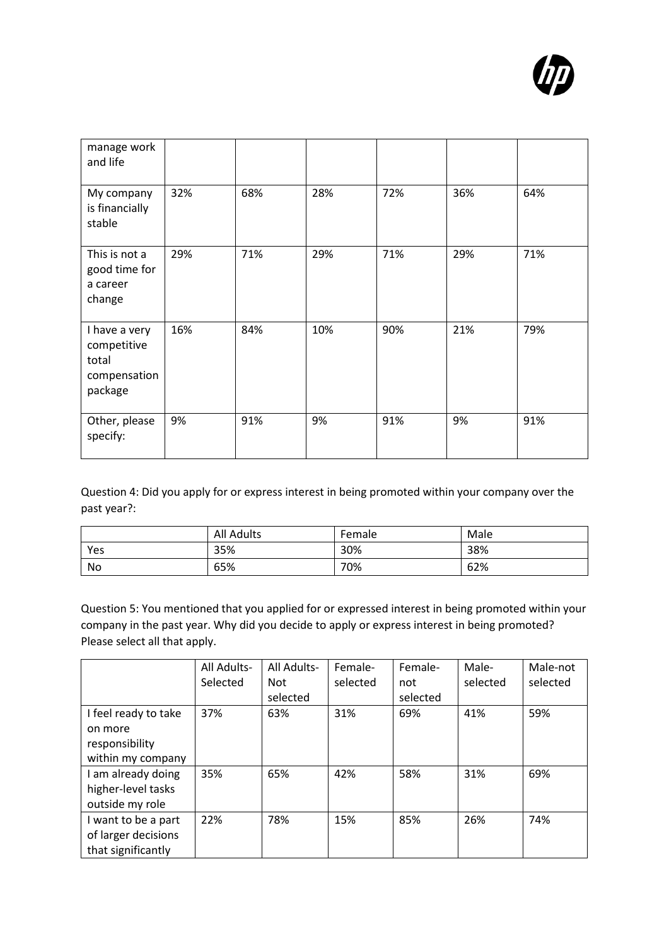

| manage work<br>and life                                          |     |     |     |     |     |     |
|------------------------------------------------------------------|-----|-----|-----|-----|-----|-----|
| My company<br>is financially<br>stable                           | 32% | 68% | 28% | 72% | 36% | 64% |
| This is not a<br>good time for<br>a career<br>change             | 29% | 71% | 29% | 71% | 29% | 71% |
| I have a very<br>competitive<br>total<br>compensation<br>package | 16% | 84% | 10% | 90% | 21% | 79% |
| Other, please<br>specify:                                        | 9%  | 91% | 9%  | 91% | 9%  | 91% |

Question 4: Did you apply for or express interest in being promoted within your company over the past year?:

|     | <b>All Adults</b> | Female | Male |
|-----|-------------------|--------|------|
| Yes | 35%               | 30%    | 38%  |
| No  | 65%               | 70%    | 62%  |

Question 5: You mentioned that you applied for or expressed interest in being promoted within your company in the past year. Why did you decide to apply or express interest in being promoted? Please select all that apply.

|                                                                        | All Adults-<br>Selected | All Adults-<br><b>Not</b><br>selected | Female-<br>selected | Female-<br>not<br>selected | Male-<br>selected | Male-not<br>selected |
|------------------------------------------------------------------------|-------------------------|---------------------------------------|---------------------|----------------------------|-------------------|----------------------|
| I feel ready to take<br>on more<br>responsibility<br>within my company | 37%                     | 63%                                   | 31%                 | 69%                        | 41%               | 59%                  |
| I am already doing<br>higher-level tasks<br>outside my role            | 35%                     | 65%                                   | 42%                 | 58%                        | 31%               | 69%                  |
| I want to be a part<br>of larger decisions<br>that significantly       | 22%                     | 78%                                   | 15%                 | 85%                        | 26%               | 74%                  |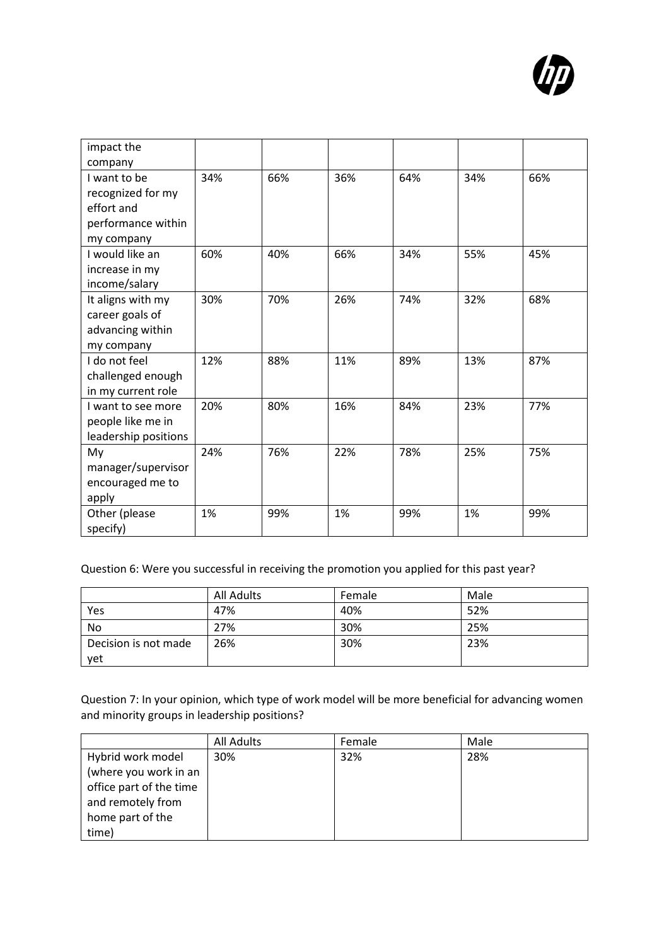

| impact the           |     |     |     |     |     |     |
|----------------------|-----|-----|-----|-----|-----|-----|
| company              |     |     |     |     |     |     |
| I want to be         | 34% | 66% | 36% | 64% | 34% | 66% |
| recognized for my    |     |     |     |     |     |     |
| effort and           |     |     |     |     |     |     |
| performance within   |     |     |     |     |     |     |
| my company           |     |     |     |     |     |     |
| I would like an      | 60% | 40% | 66% | 34% | 55% | 45% |
| increase in my       |     |     |     |     |     |     |
| income/salary        |     |     |     |     |     |     |
| It aligns with my    | 30% | 70% | 26% | 74% | 32% | 68% |
| career goals of      |     |     |     |     |     |     |
| advancing within     |     |     |     |     |     |     |
| my company           |     |     |     |     |     |     |
| I do not feel        | 12% | 88% | 11% | 89% | 13% | 87% |
| challenged enough    |     |     |     |     |     |     |
| in my current role   |     |     |     |     |     |     |
| I want to see more   | 20% | 80% | 16% | 84% | 23% | 77% |
| people like me in    |     |     |     |     |     |     |
| leadership positions |     |     |     |     |     |     |
| My                   | 24% | 76% | 22% | 78% | 25% | 75% |
| manager/supervisor   |     |     |     |     |     |     |
| encouraged me to     |     |     |     |     |     |     |
| apply                |     |     |     |     |     |     |
| Other (please        | 1%  | 99% | 1%  | 99% | 1%  | 99% |
| specify)             |     |     |     |     |     |     |

Question 6: Were you successful in receiving the promotion you applied for this past year?

|                      | All Adults | Female | Male |
|----------------------|------------|--------|------|
| Yes                  | 47%        | 40%    | 52%  |
| No                   | 27%        | 30%    | 25%  |
| Decision is not made | 26%        | 30%    | 23%  |
| yet                  |            |        |      |

Question 7: In your opinion, which type of work model will be more beneficial for advancing women and minority groups in leadership positions?

|                         | All Adults | Female | Male |
|-------------------------|------------|--------|------|
| Hybrid work model       | 30%        | 32%    | 28%  |
| (where you work in an   |            |        |      |
| office part of the time |            |        |      |
| and remotely from       |            |        |      |
| home part of the        |            |        |      |
| time)                   |            |        |      |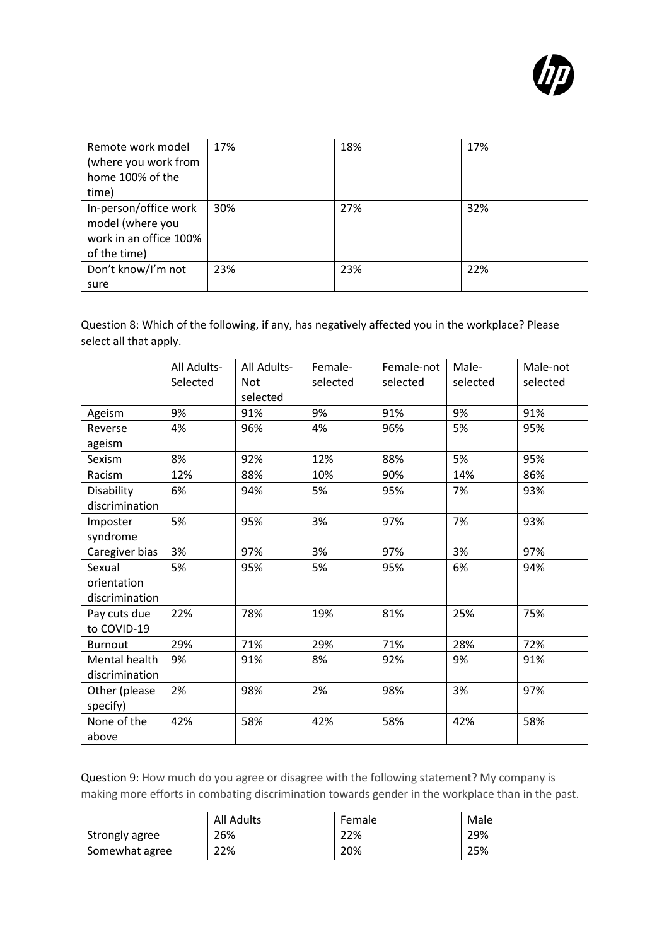

| Remote work model<br>(where you work from<br>home 100% of the<br>time)              | 17% | 18% | 17% |
|-------------------------------------------------------------------------------------|-----|-----|-----|
| In-person/office work<br>model (where you<br>work in an office 100%<br>of the time) | 30% | 27% | 32% |
| Don't know/I'm not<br>sure                                                          | 23% | 23% | 22% |

Question 8: Which of the following, if any, has negatively affected you in the workplace? Please select all that apply.

|                | All Adults- | All Adults- | Female-  | Female-not | Male-    | Male-not |
|----------------|-------------|-------------|----------|------------|----------|----------|
|                | Selected    | <b>Not</b>  | selected | selected   | selected | selected |
|                |             | selected    |          |            |          |          |
| Ageism         | 9%          | 91%         | 9%       | 91%        | 9%       | 91%      |
| Reverse        | 4%          | 96%         | 4%       | 96%        | 5%       | 95%      |
| ageism         |             |             |          |            |          |          |
| Sexism         | 8%          | 92%         | 12%      | 88%        | 5%       | 95%      |
| Racism         | 12%         | 88%         | 10%      | 90%        | 14%      | 86%      |
| Disability     | 6%          | 94%         | 5%       | 95%        | 7%       | 93%      |
| discrimination |             |             |          |            |          |          |
| Imposter       | 5%          | 95%         | 3%       | 97%        | 7%       | 93%      |
| syndrome       |             |             |          |            |          |          |
| Caregiver bias | 3%          | 97%         | 3%       | 97%        | 3%       | 97%      |
| Sexual         | 5%          | 95%         | 5%       | 95%        | 6%       | 94%      |
| orientation    |             |             |          |            |          |          |
| discrimination |             |             |          |            |          |          |
| Pay cuts due   | 22%         | 78%         | 19%      | 81%        | 25%      | 75%      |
| to COVID-19    |             |             |          |            |          |          |
| <b>Burnout</b> | 29%         | 71%         | 29%      | 71%        | 28%      | 72%      |
| Mental health  | 9%          | 91%         | 8%       | 92%        | 9%       | 91%      |
| discrimination |             |             |          |            |          |          |
| Other (please  | 2%          | 98%         | 2%       | 98%        | 3%       | 97%      |
| specify)       |             |             |          |            |          |          |
| None of the    | 42%         | 58%         | 42%      | 58%        | 42%      | 58%      |
| above          |             |             |          |            |          |          |

Question 9: How much do you agree or disagree with the following statement? My company is making more efforts in combating discrimination towards gender in the workplace than in the past.

|                | All Adults | Female | Male |
|----------------|------------|--------|------|
| Strongly agree | 26%        | 22%    | 29%  |
| Somewhat agree | 22%        | 20%    | 25%  |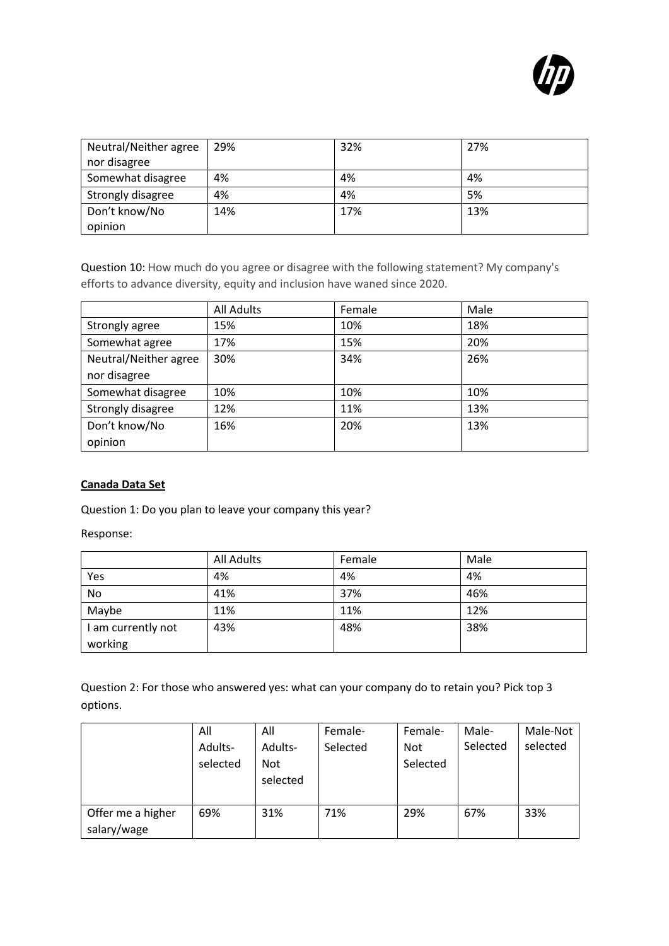

| Neutral/Neither agree | 29% | 32% | 27% |
|-----------------------|-----|-----|-----|
| nor disagree          |     |     |     |
| Somewhat disagree     | 4%  | 4%  | 4%  |
| Strongly disagree     | 4%  | 4%  | 5%  |
| Don't know/No         | 14% | 17% | 13% |
| opinion               |     |     |     |

Question 10: How much do you agree or disagree with the following statement? My company's efforts to advance diversity, equity and inclusion have waned since 2020.

|                       | <b>All Adults</b> | Female | Male |
|-----------------------|-------------------|--------|------|
| Strongly agree        | 15%               | 10%    | 18%  |
| Somewhat agree        | 17%               | 15%    | 20%  |
| Neutral/Neither agree | 30%               | 34%    | 26%  |
| nor disagree          |                   |        |      |
| Somewhat disagree     | 10%               | 10%    | 10%  |
| Strongly disagree     | 12%               | 11%    | 13%  |
| Don't know/No         | 16%               | 20%    | 13%  |
| opinion               |                   |        |      |

#### <span id="page-5-0"></span>**Canada Data Set**

Question 1: Do you plan to leave your company this year?

Response:

|                    | <b>All Adults</b> | Female | Male |
|--------------------|-------------------|--------|------|
| Yes                | 4%                | 4%     | 4%   |
| No                 | 41%               | 37%    | 46%  |
| Maybe              | 11%               | 11%    | 12%  |
| I am currently not | 43%               | 48%    | 38%  |
| working            |                   |        |      |

Question 2: For those who answered yes: what can your company do to retain you? Pick top 3 options.

|                                  | All<br>Adults-<br>selected | All<br>Adults-<br><b>Not</b> | Female-<br>Selected | Female-<br><b>Not</b><br>Selected | Male-<br>Selected | Male-Not<br>selected |
|----------------------------------|----------------------------|------------------------------|---------------------|-----------------------------------|-------------------|----------------------|
|                                  |                            | selected                     |                     |                                   |                   |                      |
| Offer me a higher<br>salary/wage | 69%                        | 31%                          | 71%                 | 29%                               | 67%               | 33%                  |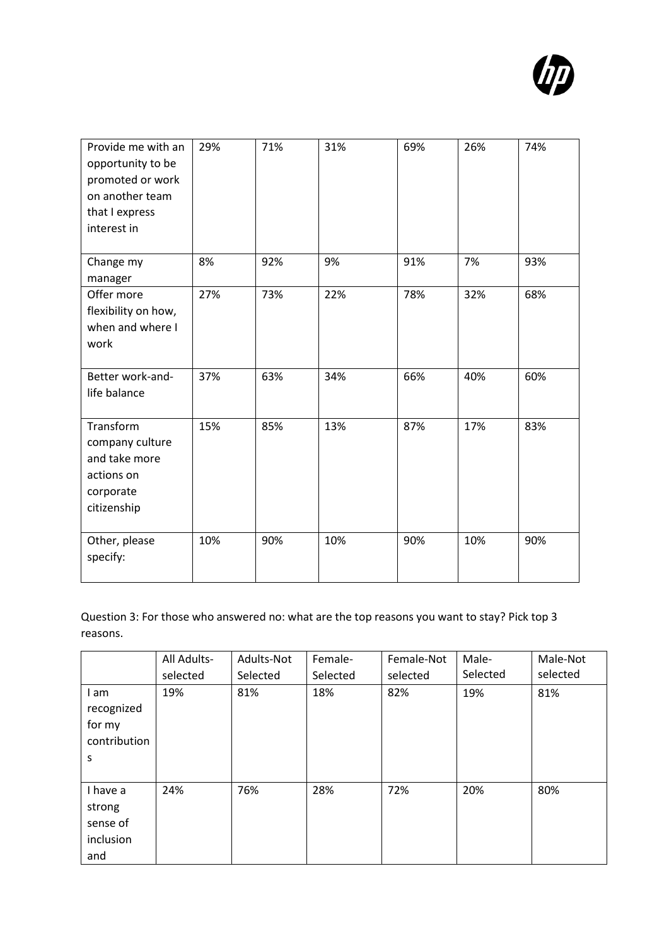

| Provide me with an<br>opportunity to be<br>promoted or work<br>on another team<br>that I express<br>interest in | 29% | 71% | 31% | 69% | 26% | 74% |
|-----------------------------------------------------------------------------------------------------------------|-----|-----|-----|-----|-----|-----|
| Change my<br>manager                                                                                            | 8%  | 92% | 9%  | 91% | 7%  | 93% |
| Offer more<br>flexibility on how,<br>when and where I<br>work                                                   | 27% | 73% | 22% | 78% | 32% | 68% |
| Better work-and-<br>life balance                                                                                | 37% | 63% | 34% | 66% | 40% | 60% |
| Transform<br>company culture<br>and take more<br>actions on<br>corporate<br>citizenship                         | 15% | 85% | 13% | 87% | 17% | 83% |
| Other, please<br>specify:                                                                                       | 10% | 90% | 10% | 90% | 10% | 90% |

Question 3: For those who answered no: what are the top reasons you want to stay? Pick top 3 reasons.

|                                                    | All Adults-     | Adults-Not      | Female-         | Female-Not      | Male-<br>Selected | Male-Not<br>selected |
|----------------------------------------------------|-----------------|-----------------|-----------------|-----------------|-------------------|----------------------|
| I am<br>recognized<br>for my<br>contribution<br>s  | selected<br>19% | Selected<br>81% | Selected<br>18% | selected<br>82% | 19%               | 81%                  |
| I have a<br>strong<br>sense of<br>inclusion<br>and | 24%             | 76%             | 28%             | 72%             | 20%               | 80%                  |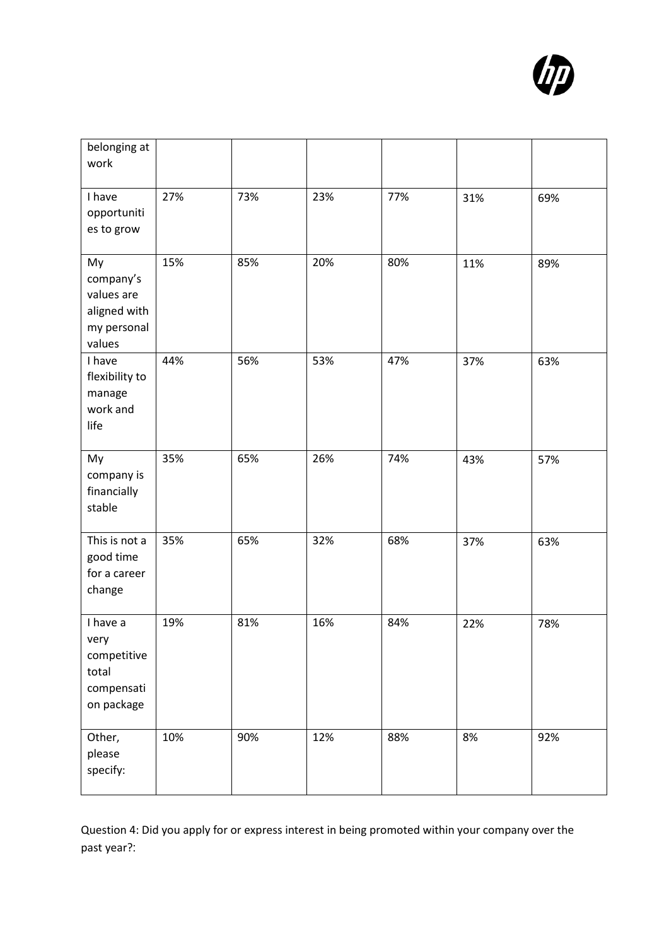

| belonging at<br>work                                                   |     |     |     |     |     |     |
|------------------------------------------------------------------------|-----|-----|-----|-----|-----|-----|
| I have<br>opportuniti<br>es to grow                                    | 27% | 73% | 23% | 77% | 31% | 69% |
| My<br>company's<br>values are<br>aligned with<br>my personal<br>values | 15% | 85% | 20% | 80% | 11% | 89% |
| I have<br>flexibility to<br>manage<br>work and<br>life                 | 44% | 56% | 53% | 47% | 37% | 63% |
| My<br>company is<br>financially<br>stable                              | 35% | 65% | 26% | 74% | 43% | 57% |
| This is not a<br>good time<br>for a career<br>change                   | 35% | 65% | 32% | 68% | 37% | 63% |
| I have a<br>very<br>competitive<br>total<br>compensati<br>on package   | 19% | 81% | 16% | 84% | 22% | 78% |
| Other,<br>please<br>specify:                                           | 10% | 90% | 12% | 88% | 8%  | 92% |

Question 4: Did you apply for or express interest in being promoted within your company over the past year?: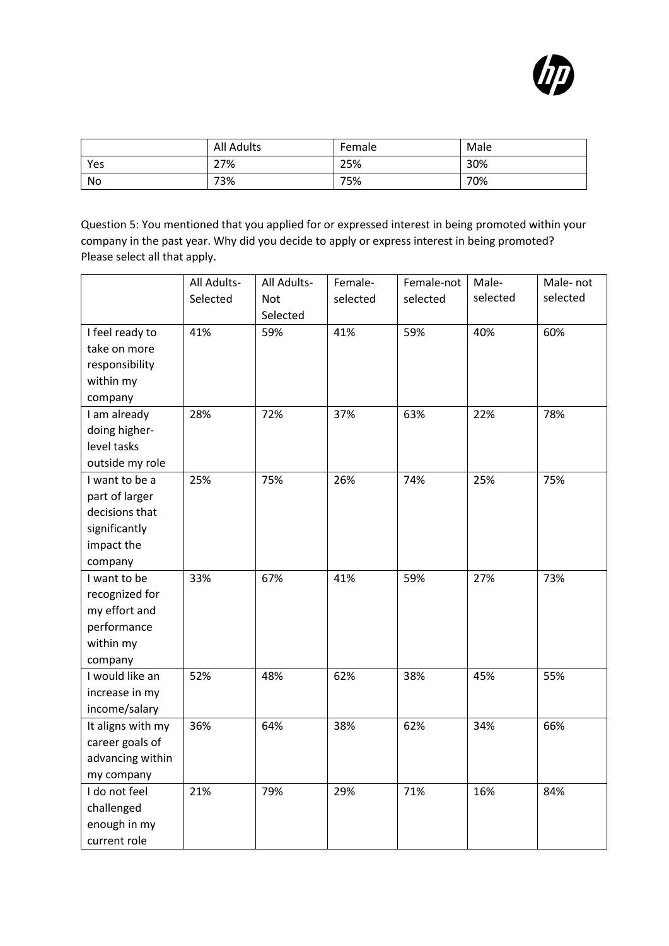

|     | <b>All Adults</b> | Female | Male |
|-----|-------------------|--------|------|
| Yes | 27%               | 25%    | 30%  |
| No  | 73%               | 75%    | 70%  |

Question 5: You mentioned that you applied for or expressed interest in being promoted within your company in the past year. Why did you decide to apply or express interest in being promoted? Please select all that apply.

|                   | All Adults- | All Adults- | Female-  | Female-not | Male-    | Male-not |
|-------------------|-------------|-------------|----------|------------|----------|----------|
|                   | Selected    | Not         | selected | selected   | selected | selected |
|                   |             | Selected    |          |            |          |          |
| I feel ready to   | 41%         | 59%         | 41%      | 59%        | 40%      | 60%      |
| take on more      |             |             |          |            |          |          |
| responsibility    |             |             |          |            |          |          |
| within my         |             |             |          |            |          |          |
| company           |             |             |          |            |          |          |
| I am already      | 28%         | 72%         | 37%      | 63%        | 22%      | 78%      |
| doing higher-     |             |             |          |            |          |          |
| level tasks       |             |             |          |            |          |          |
| outside my role   |             |             |          |            |          |          |
| I want to be a    | 25%         | 75%         | 26%      | 74%        | 25%      | 75%      |
| part of larger    |             |             |          |            |          |          |
| decisions that    |             |             |          |            |          |          |
| significantly     |             |             |          |            |          |          |
| impact the        |             |             |          |            |          |          |
| company           |             |             |          |            |          |          |
| I want to be      | 33%         | 67%         | 41%      | 59%        | 27%      | 73%      |
| recognized for    |             |             |          |            |          |          |
| my effort and     |             |             |          |            |          |          |
| performance       |             |             |          |            |          |          |
| within my         |             |             |          |            |          |          |
| company           |             |             |          |            |          |          |
| I would like an   | 52%         | 48%         | 62%      | 38%        | 45%      | 55%      |
| increase in my    |             |             |          |            |          |          |
| income/salary     |             |             |          |            |          |          |
| It aligns with my | 36%         | 64%         | 38%      | 62%        | 34%      | 66%      |
| career goals of   |             |             |          |            |          |          |
| advancing within  |             |             |          |            |          |          |
| my company        |             |             |          |            |          |          |
| I do not feel     | 21%         | 79%         | 29%      | 71%        | 16%      | 84%      |
| challenged        |             |             |          |            |          |          |
| enough in my      |             |             |          |            |          |          |
| current role      |             |             |          |            |          |          |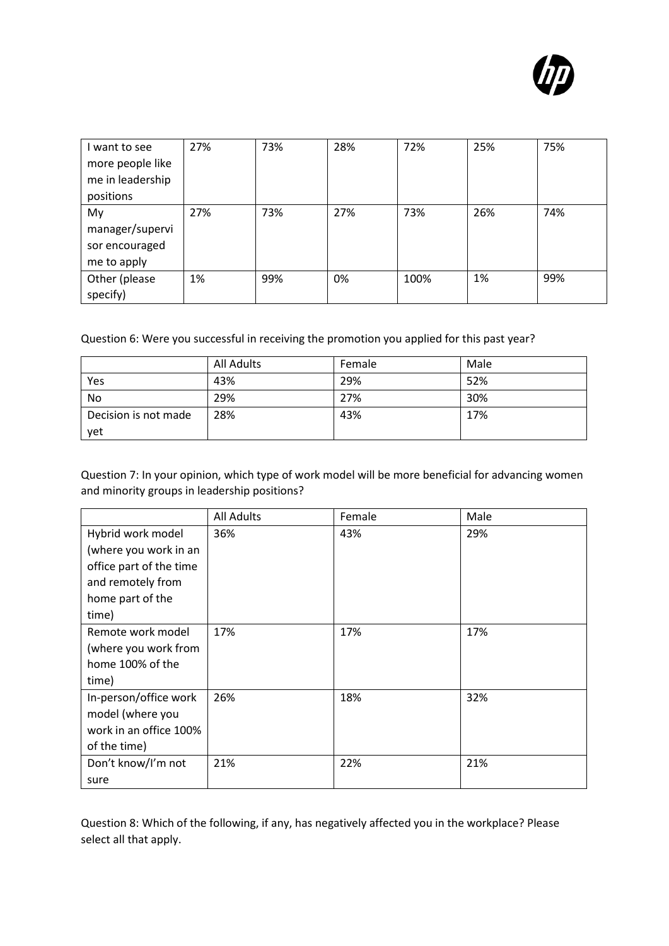

| I want to see    | 27% | 73% | 28% | 72%  | 25% | 75% |
|------------------|-----|-----|-----|------|-----|-----|
| more people like |     |     |     |      |     |     |
| me in leadership |     |     |     |      |     |     |
| positions        |     |     |     |      |     |     |
| My               | 27% | 73% | 27% | 73%  | 26% | 74% |
| manager/supervi  |     |     |     |      |     |     |
| sor encouraged   |     |     |     |      |     |     |
| me to apply      |     |     |     |      |     |     |
| Other (please    | 1%  | 99% | 0%  | 100% | 1%  | 99% |
| specify)         |     |     |     |      |     |     |

Question 6: Were you successful in receiving the promotion you applied for this past year?

|                      | All Adults | Female | Male |
|----------------------|------------|--------|------|
| Yes                  | 43%        | 29%    | 52%  |
| No                   | 29%        | 27%    | 30%  |
| Decision is not made | 28%        | 43%    | 17%  |
| yet                  |            |        |      |

Question 7: In your opinion, which type of work model will be more beneficial for advancing women and minority groups in leadership positions?

|                                                                                                                         | <b>All Adults</b> | Female | Male |
|-------------------------------------------------------------------------------------------------------------------------|-------------------|--------|------|
| Hybrid work model<br>(where you work in an<br>office part of the time<br>and remotely from<br>home part of the<br>time) | 36%               | 43%    | 29%  |
| Remote work model<br>(where you work from<br>home 100% of the<br>time)                                                  | 17%               | 17%    | 17%  |
| In-person/office work<br>model (where you<br>work in an office 100%<br>of the time)                                     | 26%               | 18%    | 32%  |
| Don't know/I'm not<br>sure                                                                                              | 21%               | 22%    | 21%  |

Question 8: Which of the following, if any, has negatively affected you in the workplace? Please select all that apply.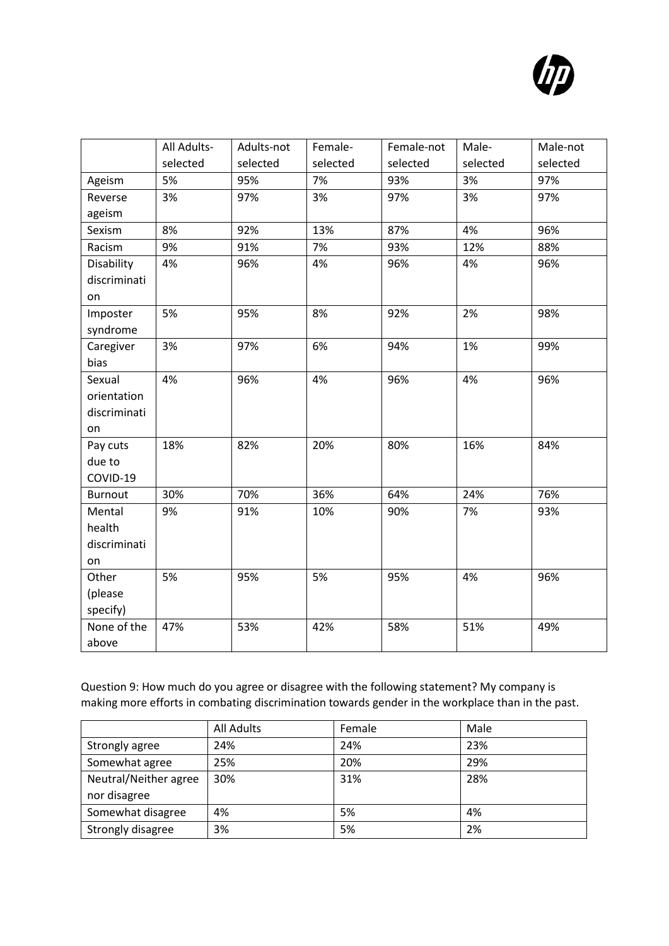

|                | All Adults- | Adults-not | Female-  | Female-not | Male-    | Male-not |
|----------------|-------------|------------|----------|------------|----------|----------|
|                | selected    | selected   | selected | selected   | selected | selected |
| Ageism         | 5%          | 95%        | 7%       | 93%        | 3%       | 97%      |
| Reverse        | 3%          | 97%        | 3%       | 97%        | 3%       | 97%      |
| ageism         |             |            |          |            |          |          |
| Sexism         | 8%          | 92%        | 13%      | 87%        | 4%       | 96%      |
| Racism         | 9%          | 91%        | 7%       | 93%        | 12%      | 88%      |
| Disability     | 4%          | 96%        | 4%       | 96%        | 4%       | 96%      |
| discriminati   |             |            |          |            |          |          |
| on             |             |            |          |            |          |          |
| Imposter       | 5%          | 95%        | 8%       | 92%        | 2%       | 98%      |
| syndrome       |             |            |          |            |          |          |
| Caregiver      | 3%          | 97%        | 6%       | 94%        | 1%       | 99%      |
| bias           |             |            |          |            |          |          |
| Sexual         | 4%          | 96%        | 4%       | 96%        | 4%       | 96%      |
| orientation    |             |            |          |            |          |          |
| discriminati   |             |            |          |            |          |          |
| on             |             |            |          |            |          |          |
| Pay cuts       | 18%         | 82%        | 20%      | 80%        | 16%      | 84%      |
| due to         |             |            |          |            |          |          |
| COVID-19       |             |            |          |            |          |          |
| <b>Burnout</b> | 30%         | 70%        | 36%      | 64%        | 24%      | 76%      |
| Mental         | 9%          | 91%        | 10%      | 90%        | 7%       | 93%      |
| health         |             |            |          |            |          |          |
| discriminati   |             |            |          |            |          |          |
| on             |             |            |          |            |          |          |
| Other          | 5%          | 95%        | 5%       | 95%        | 4%       | 96%      |
| (please        |             |            |          |            |          |          |
| specify)       |             |            |          |            |          |          |
| None of the    | 47%         | 53%        | 42%      | 58%        | 51%      | 49%      |
| above          |             |            |          |            |          |          |

Question 9: How much do you agree or disagree with the following statement? My company is making more efforts in combating discrimination towards gender in the workplace than in the past.

|                       | All Adults | Female | Male |
|-----------------------|------------|--------|------|
| Strongly agree        | 24%        | 24%    | 23%  |
| Somewhat agree        | 25%        | 20%    | 29%  |
| Neutral/Neither agree | 30%        | 31%    | 28%  |
| nor disagree          |            |        |      |
| Somewhat disagree     | 4%         | 5%     | 4%   |
| Strongly disagree     | 3%         | 5%     | 2%   |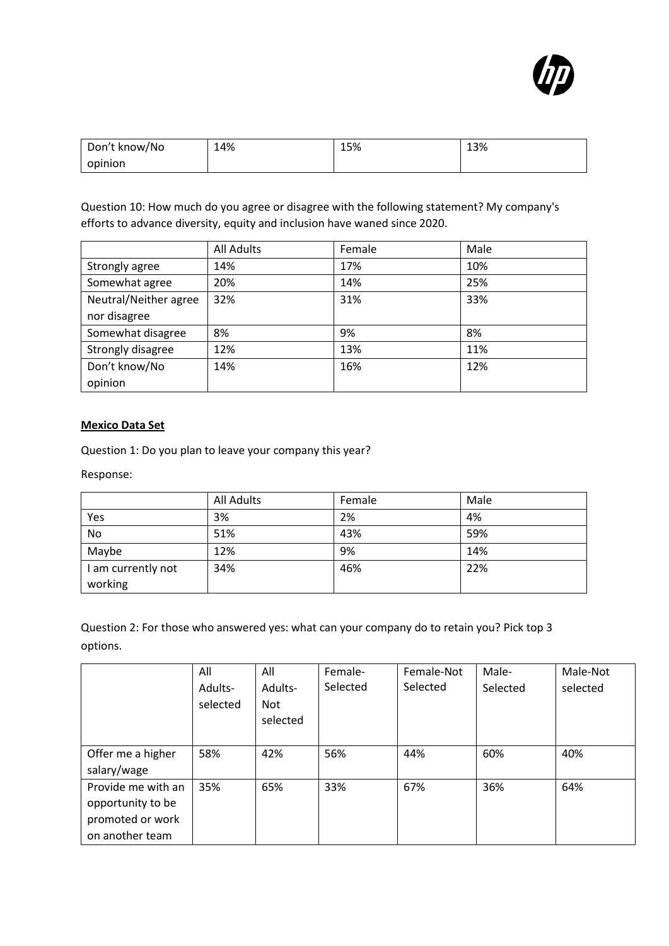

| Don't know/No | 14% | 15% | 13% |
|---------------|-----|-----|-----|
| opinion       |     |     |     |

Question 10: How much do you agree or disagree with the following statement? My company's efforts to advance diversity, equity and inclusion have waned since 2020.

|                       | <b>All Adults</b> | Female | Male |
|-----------------------|-------------------|--------|------|
| Strongly agree        | 14%               | 17%    | 10%  |
| Somewhat agree        | 20%               | 14%    | 25%  |
| Neutral/Neither agree | 32%               | 31%    | 33%  |
| nor disagree          |                   |        |      |
| Somewhat disagree     | 8%                | 9%     | 8%   |
| Strongly disagree     | 12%               | 13%    | 11%  |
| Don't know/No         | 14%               | 16%    | 12%  |
| opinion               |                   |        |      |

### <span id="page-11-0"></span>**Mexico Data Set**

Question 1: Do you plan to leave your company this year?

Response:

|                    | All Adults | Female | Male |
|--------------------|------------|--------|------|
| Yes                | 3%         | 2%     | 4%   |
| No                 | 51%        | 43%    | 59%  |
| Maybe              | 12%        | 9%     | 14%  |
| I am currently not | 34%        | 46%    | 22%  |
| working            |            |        |      |

Question 2: For those who answered yes: what can your company do to retain you? Pick top 3 options.

|                    | All      | All      | Female-  | Female-Not | Male-    | Male-Not |
|--------------------|----------|----------|----------|------------|----------|----------|
|                    | Adults-  | Adults-  | Selected | Selected   | Selected | selected |
|                    | selected | Not      |          |            |          |          |
|                    |          | selected |          |            |          |          |
|                    |          |          |          |            |          |          |
| Offer me a higher  | 58%      | 42%      | 56%      | 44%        | 60%      | 40%      |
| salary/wage        |          |          |          |            |          |          |
| Provide me with an | 35%      | 65%      | 33%      | 67%        | 36%      | 64%      |
| opportunity to be  |          |          |          |            |          |          |
| promoted or work   |          |          |          |            |          |          |
| on another team    |          |          |          |            |          |          |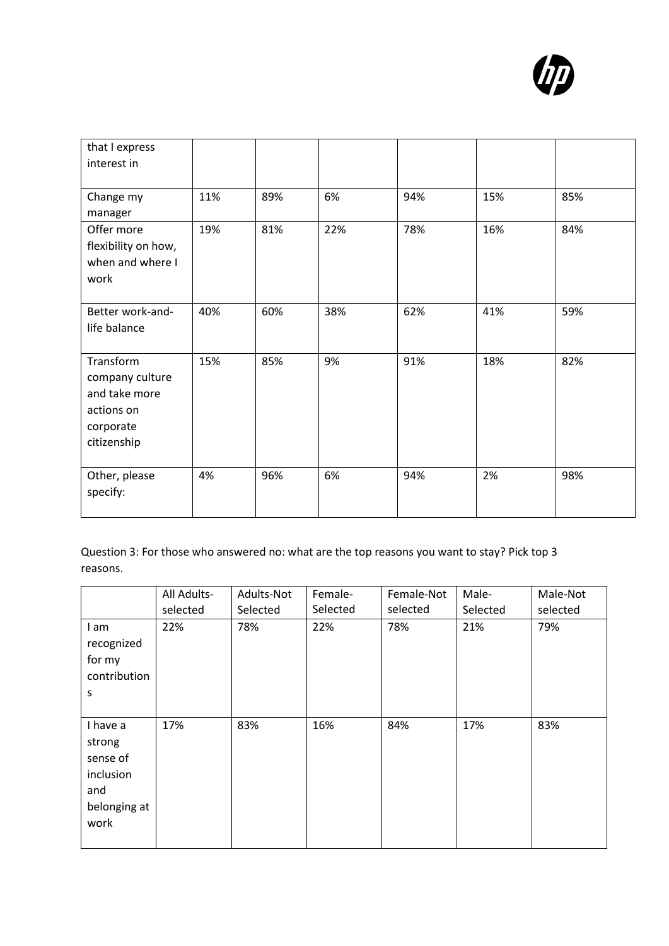

| that I express                                                                          |     |     |     |     |     |     |
|-----------------------------------------------------------------------------------------|-----|-----|-----|-----|-----|-----|
| interest in                                                                             |     |     |     |     |     |     |
| Change my<br>manager                                                                    | 11% | 89% | 6%  | 94% | 15% | 85% |
| Offer more<br>flexibility on how,<br>when and where I<br>work                           | 19% | 81% | 22% | 78% | 16% | 84% |
| Better work-and-<br>life balance                                                        | 40% | 60% | 38% | 62% | 41% | 59% |
| Transform<br>company culture<br>and take more<br>actions on<br>corporate<br>citizenship | 15% | 85% | 9%  | 91% | 18% | 82% |
| Other, please<br>specify:                                                               | 4%  | 96% | 6%  | 94% | 2%  | 98% |

Question 3: For those who answered no: what are the top reasons you want to stay? Pick top 3 reasons.

|                                                                            | All Adults- | Adults-Not | Female-  | Female-Not | Male-    | Male-Not |
|----------------------------------------------------------------------------|-------------|------------|----------|------------|----------|----------|
|                                                                            | selected    | Selected   | Selected | selected   | Selected | selected |
| I am<br>recognized<br>for my<br>contribution<br>S                          | 22%         | 78%        | 22%      | 78%        | 21%      | 79%      |
| I have a<br>strong<br>sense of<br>inclusion<br>and<br>belonging at<br>work | 17%         | 83%        | 16%      | 84%        | 17%      | 83%      |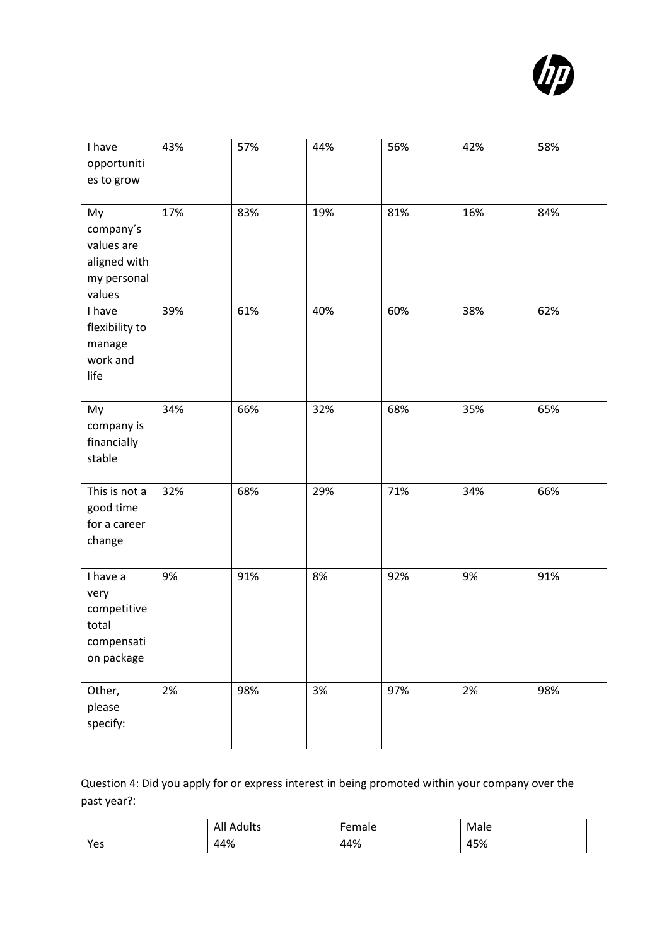

| I have<br>opportuniti<br>es to grow                                    | 43% | 57% | 44% | 56% | 42% | 58% |
|------------------------------------------------------------------------|-----|-----|-----|-----|-----|-----|
| My<br>company's<br>values are<br>aligned with<br>my personal<br>values | 17% | 83% | 19% | 81% | 16% | 84% |
| I have<br>flexibility to<br>manage<br>work and<br>life                 | 39% | 61% | 40% | 60% | 38% | 62% |
| My<br>company is<br>financially<br>stable                              | 34% | 66% | 32% | 68% | 35% | 65% |
| This is not a<br>good time<br>for a career<br>change                   | 32% | 68% | 29% | 71% | 34% | 66% |
| I have a<br>very<br>competitive<br>total<br>compensati<br>on package   | 9%  | 91% | 8%  | 92% | 9%  | 91% |
| Other,<br>please<br>specify:                                           | 2%  | 98% | 3%  | 97% | 2%  | 98% |

Question 4: Did you apply for or express interest in being promoted within your company over the past year?:

|     | <b>All Adults</b> | Female | Male |
|-----|-------------------|--------|------|
| Yes | 44%               | 44%    | 45%  |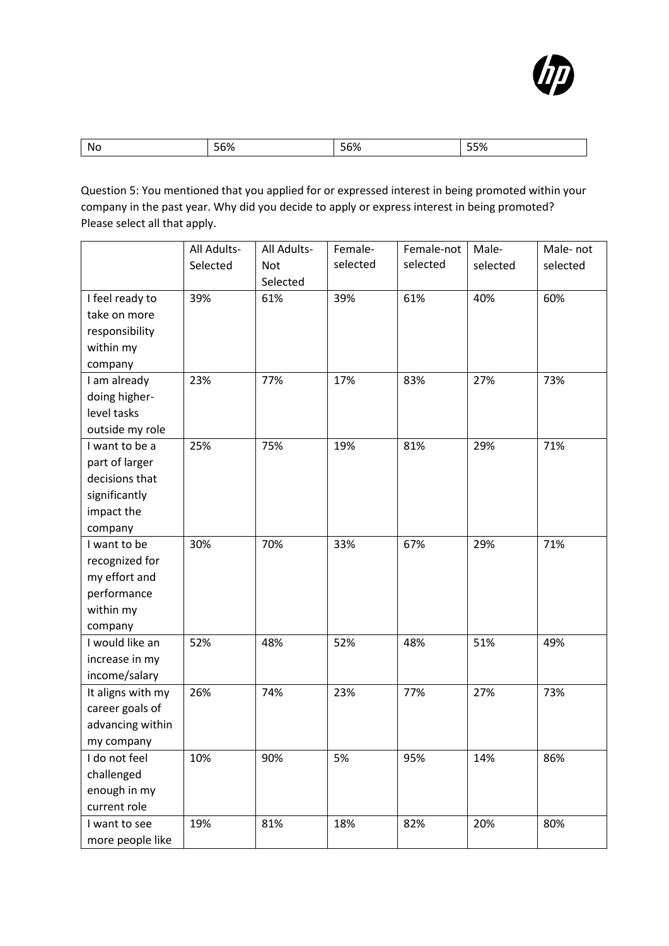

| Nc.<br>つつび |
|------------|
|------------|

Question 5: You mentioned that you applied for or expressed interest in being promoted within your company in the past year. Why did you decide to apply or express interest in being promoted? Please select all that apply.

|                   | All Adults- | All Adults- | Female-  | Female-not | Male-    | Male-not |
|-------------------|-------------|-------------|----------|------------|----------|----------|
|                   | Selected    | <b>Not</b>  | selected | selected   | selected | selected |
|                   |             | Selected    |          |            |          |          |
| I feel ready to   | 39%         | 61%         | 39%      | 61%        | 40%      | 60%      |
| take on more      |             |             |          |            |          |          |
| responsibility    |             |             |          |            |          |          |
| within my         |             |             |          |            |          |          |
| company           |             |             |          |            |          |          |
| I am already      | 23%         | 77%         | 17%      | 83%        | 27%      | 73%      |
| doing higher-     |             |             |          |            |          |          |
| level tasks       |             |             |          |            |          |          |
| outside my role   |             |             |          |            |          |          |
| I want to be a    | 25%         | 75%         | 19%      | 81%        | 29%      | 71%      |
| part of larger    |             |             |          |            |          |          |
| decisions that    |             |             |          |            |          |          |
| significantly     |             |             |          |            |          |          |
| impact the        |             |             |          |            |          |          |
| company           |             |             |          |            |          |          |
| I want to be      | 30%         | 70%         | 33%      | 67%        | 29%      | 71%      |
| recognized for    |             |             |          |            |          |          |
| my effort and     |             |             |          |            |          |          |
| performance       |             |             |          |            |          |          |
| within my         |             |             |          |            |          |          |
| company           |             |             |          |            |          |          |
| I would like an   | 52%         | 48%         | 52%      | 48%        | 51%      | 49%      |
| increase in my    |             |             |          |            |          |          |
| income/salary     |             |             |          |            |          |          |
| It aligns with my | 26%         | 74%         | 23%      | 77%        | 27%      | 73%      |
| career goals of   |             |             |          |            |          |          |
| advancing within  |             |             |          |            |          |          |
| my company        |             |             |          |            |          |          |
| I do not feel     | 10%         | 90%         | 5%       | 95%        | 14%      | 86%      |
| challenged        |             |             |          |            |          |          |
| enough in my      |             |             |          |            |          |          |
| current role      |             |             |          |            |          |          |
| I want to see     | 19%         | 81%         | 18%      | 82%        | 20%      | 80%      |
| more people like  |             |             |          |            |          |          |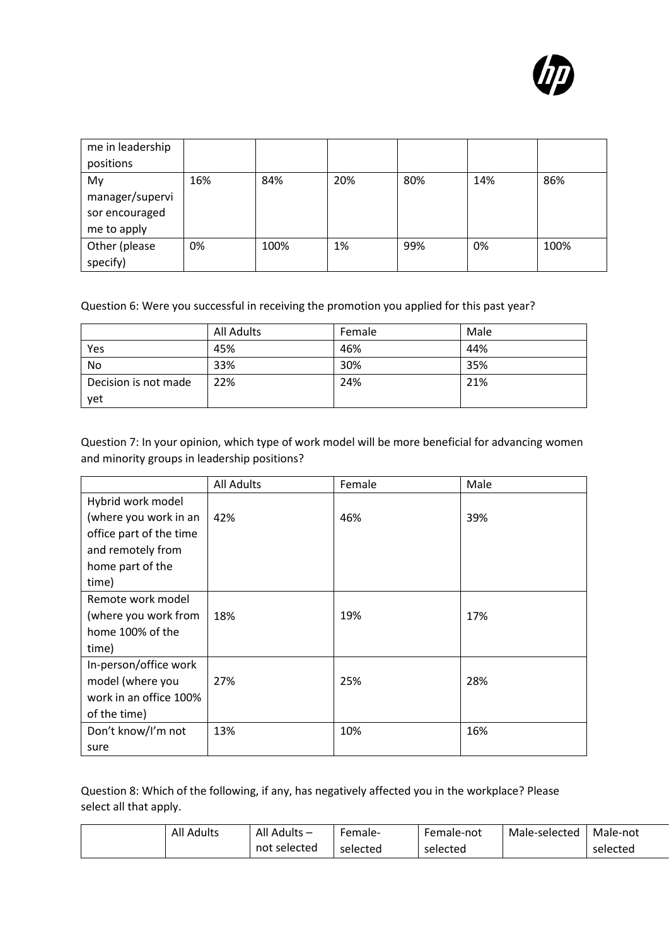

| me in leadership |     |      |     |     |     |      |
|------------------|-----|------|-----|-----|-----|------|
| positions        |     |      |     |     |     |      |
| My               | 16% | 84%  | 20% | 80% | 14% | 86%  |
| manager/supervi  |     |      |     |     |     |      |
| sor encouraged   |     |      |     |     |     |      |
| me to apply      |     |      |     |     |     |      |
| Other (please    | 0%  | 100% | 1%  | 99% | 0%  | 100% |
| specify)         |     |      |     |     |     |      |

Question 6: Were you successful in receiving the promotion you applied for this past year?

|                      | All Adults | Female | Male |
|----------------------|------------|--------|------|
| Yes                  | 45%        | 46%    | 44%  |
| No                   | 33%        | 30%    | 35%  |
| Decision is not made | 22%        | 24%    | 21%  |
| vet                  |            |        |      |

Question 7: In your opinion, which type of work model will be more beneficial for advancing women and minority groups in leadership positions?

|                         | <b>All Adults</b> | Female | Male |
|-------------------------|-------------------|--------|------|
| Hybrid work model       |                   |        |      |
| (where you work in an   | 42%               | 46%    | 39%  |
| office part of the time |                   |        |      |
| and remotely from       |                   |        |      |
| home part of the        |                   |        |      |
| time)                   |                   |        |      |
| Remote work model       |                   |        |      |
| (where you work from    | 18%               | 19%    | 17%  |
| home 100% of the        |                   |        |      |
| time)                   |                   |        |      |
| In-person/office work   |                   |        |      |
| model (where you        | 27%               | 25%    | 28%  |
| work in an office 100%  |                   |        |      |
| of the time)            |                   |        |      |
| Don't know/I'm not      | 13%               | 10%    | 16%  |
| sure                    |                   |        |      |

Question 8: Which of the following, if any, has negatively affected you in the workplace? Please select all that apply.

| <b>All Adults</b> | All Adults – | Female-  | Female-not | Male-selected | Male-not |
|-------------------|--------------|----------|------------|---------------|----------|
|                   | not selected | selected | selected   |               | selected |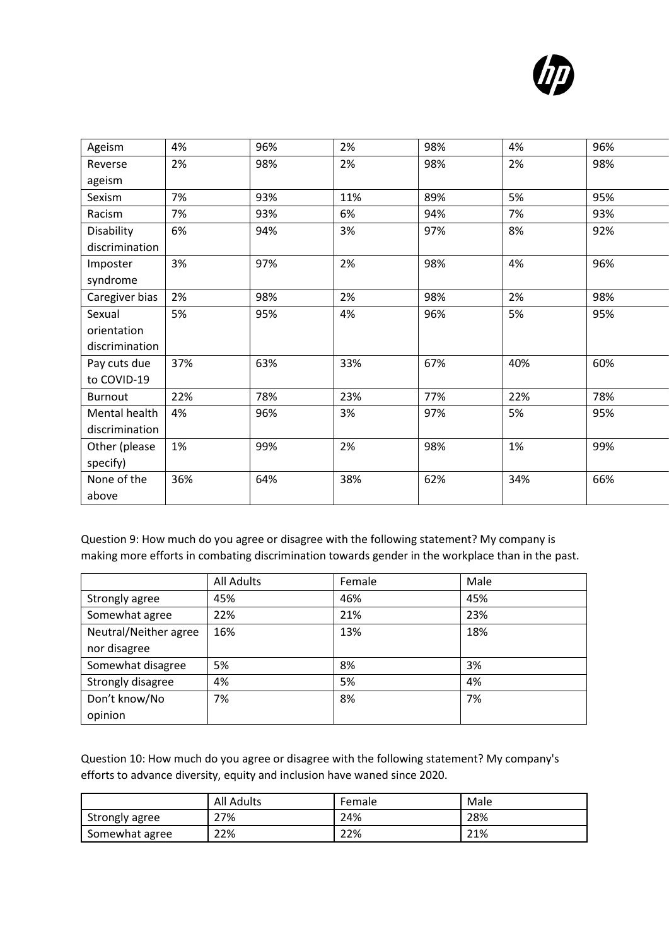

| Ageism         | 4%  | 96% | 2%  | 98% | 4%  | 96% |
|----------------|-----|-----|-----|-----|-----|-----|
| Reverse        | 2%  | 98% | 2%  | 98% | 2%  | 98% |
| ageism         |     |     |     |     |     |     |
| Sexism         | 7%  | 93% | 11% | 89% | 5%  | 95% |
| Racism         | 7%  | 93% | 6%  | 94% | 7%  | 93% |
| Disability     | 6%  | 94% | 3%  | 97% | 8%  | 92% |
| discrimination |     |     |     |     |     |     |
| Imposter       | 3%  | 97% | 2%  | 98% | 4%  | 96% |
| syndrome       |     |     |     |     |     |     |
| Caregiver bias | 2%  | 98% | 2%  | 98% | 2%  | 98% |
| Sexual         | 5%  | 95% | 4%  | 96% | 5%  | 95% |
| orientation    |     |     |     |     |     |     |
| discrimination |     |     |     |     |     |     |
| Pay cuts due   | 37% | 63% | 33% | 67% | 40% | 60% |
| to COVID-19    |     |     |     |     |     |     |
| <b>Burnout</b> | 22% | 78% | 23% | 77% | 22% | 78% |
| Mental health  | 4%  | 96% | 3%  | 97% | 5%  | 95% |
| discrimination |     |     |     |     |     |     |
| Other (please  | 1%  | 99% | 2%  | 98% | 1%  | 99% |
| specify)       |     |     |     |     |     |     |
| None of the    | 36% | 64% | 38% | 62% | 34% | 66% |
| above          |     |     |     |     |     |     |

Question 9: How much do you agree or disagree with the following statement? My company is making more efforts in combating discrimination towards gender in the workplace than in the past.

|                       | <b>All Adults</b> | Female | Male |
|-----------------------|-------------------|--------|------|
| Strongly agree        | 45%               | 46%    | 45%  |
| Somewhat agree        | 22%               | 21%    | 23%  |
| Neutral/Neither agree | 16%               | 13%    | 18%  |
| nor disagree          |                   |        |      |
| Somewhat disagree     | 5%                | 8%     | 3%   |
| Strongly disagree     | 4%                | 5%     | 4%   |
| Don't know/No         | 7%                | 8%     | 7%   |
| opinion               |                   |        |      |

Question 10: How much do you agree or disagree with the following statement? My company's efforts to advance diversity, equity and inclusion have waned since 2020.

|                | <b>All Adults</b> | Female | Male |
|----------------|-------------------|--------|------|
| Strongly agree | 27%               | 24%    | 28%  |
| Somewhat agree | 22%               | 22%    | 21%  |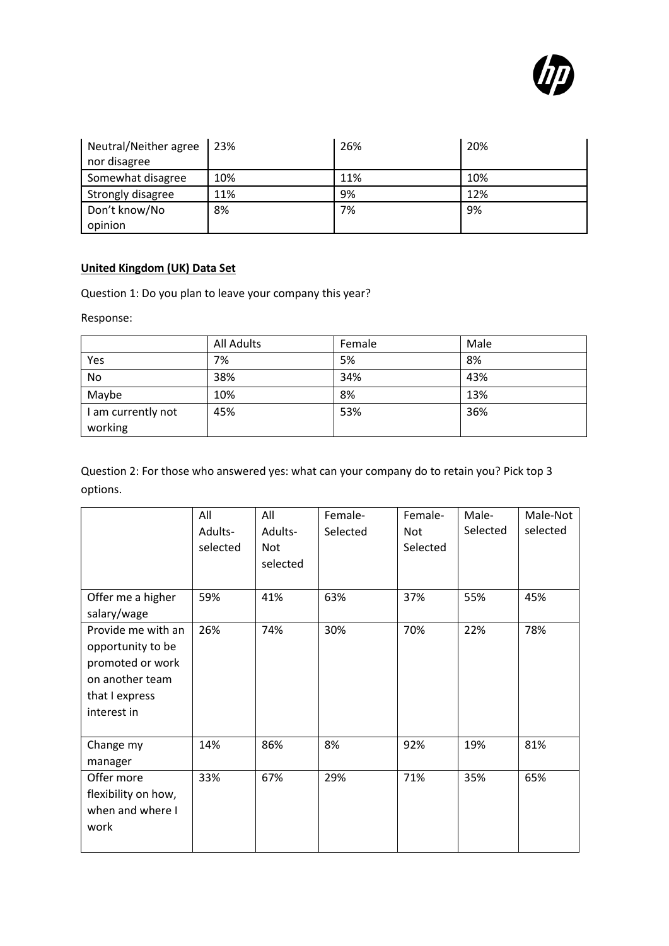

| Neutral/Neither agree<br>nor disagree | 23% | 26% | 20% |
|---------------------------------------|-----|-----|-----|
| Somewhat disagree                     | 10% | 11% | 10% |
| Strongly disagree                     | 11% | 9%  | 12% |
| Don't know/No<br>opinion              | 8%  | 7%  | 9%  |

# <span id="page-17-0"></span>**United Kingdom (UK) Data Set**

Question 1: Do you plan to leave your company this year?

Response:

|                    | <b>All Adults</b> | Female | Male |
|--------------------|-------------------|--------|------|
| Yes                | 7%                | 5%     | 8%   |
| No                 | 38%               | 34%    | 43%  |
| Maybe              | 10%               | 8%     | 13%  |
| I am currently not | 45%               | 53%    | 36%  |
| working            |                   |        |      |

Question 2: For those who answered yes: what can your company do to retain you? Pick top 3 options.

|                                                                                                                 | All<br>Adults-<br>selected | All<br>Adults-<br>Not<br>selected | Female-<br>Selected | Female-<br>Not<br>Selected | Male-<br>Selected | Male-Not<br>selected |
|-----------------------------------------------------------------------------------------------------------------|----------------------------|-----------------------------------|---------------------|----------------------------|-------------------|----------------------|
| Offer me a higher<br>salary/wage                                                                                | 59%                        | 41%                               | 63%                 | 37%                        | 55%               | 45%                  |
| Provide me with an<br>opportunity to be<br>promoted or work<br>on another team<br>that I express<br>interest in | 26%                        | 74%                               | 30%                 | 70%                        | 22%               | 78%                  |
| Change my<br>manager                                                                                            | 14%                        | 86%                               | 8%                  | 92%                        | 19%               | 81%                  |
| Offer more<br>flexibility on how,<br>when and where I<br>work                                                   | 33%                        | 67%                               | 29%                 | 71%                        | 35%               | 65%                  |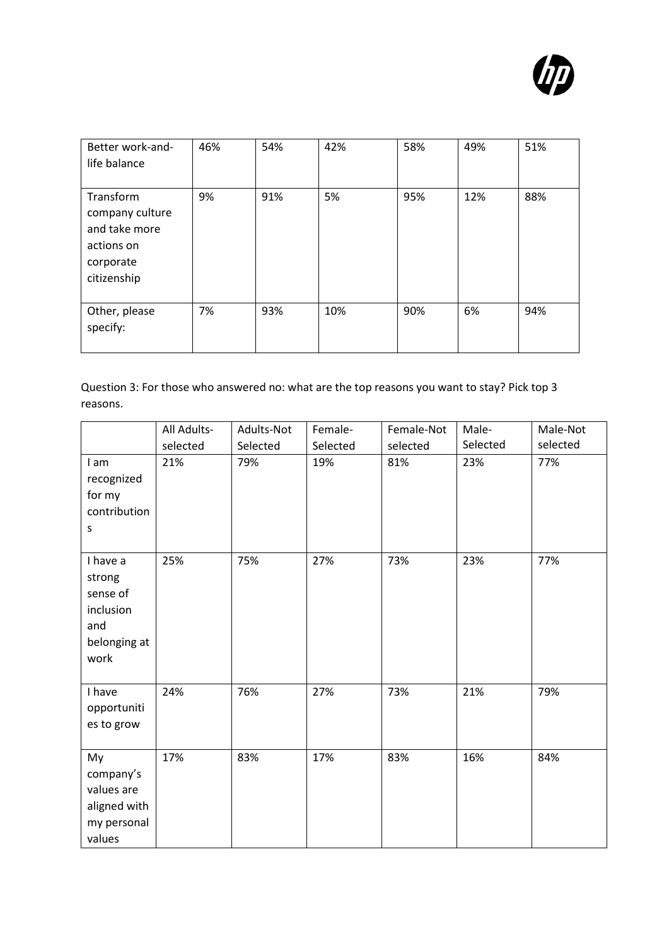

| Better work-and-<br>life balance                                                        | 46% | 54% | 42% | 58% | 49% | 51% |
|-----------------------------------------------------------------------------------------|-----|-----|-----|-----|-----|-----|
| Transform<br>company culture<br>and take more<br>actions on<br>corporate<br>citizenship | 9%  | 91% | 5%  | 95% | 12% | 88% |
| Other, please<br>specify:                                                               | 7%  | 93% | 10% | 90% | 6%  | 94% |

Question 3: For those who answered no: what are the top reasons you want to stay? Pick top 3 reasons.

|                                                                            | All Adults- | Adults-Not | Female-  | Female-Not | Male-    | Male-Not |
|----------------------------------------------------------------------------|-------------|------------|----------|------------|----------|----------|
|                                                                            | selected    | Selected   | Selected | selected   | Selected | selected |
| I am<br>recognized<br>for my<br>contribution<br>S                          | 21%         | 79%        | 19%      | 81%        | 23%      | 77%      |
| I have a<br>strong<br>sense of<br>inclusion<br>and<br>belonging at<br>work | 25%         | 75%        | 27%      | 73%        | 23%      | 77%      |
| I have<br>opportuniti<br>es to grow                                        | 24%         | 76%        | 27%      | 73%        | 21%      | 79%      |
| My<br>company's<br>values are<br>aligned with<br>my personal<br>values     | 17%         | 83%        | 17%      | 83%        | 16%      | 84%      |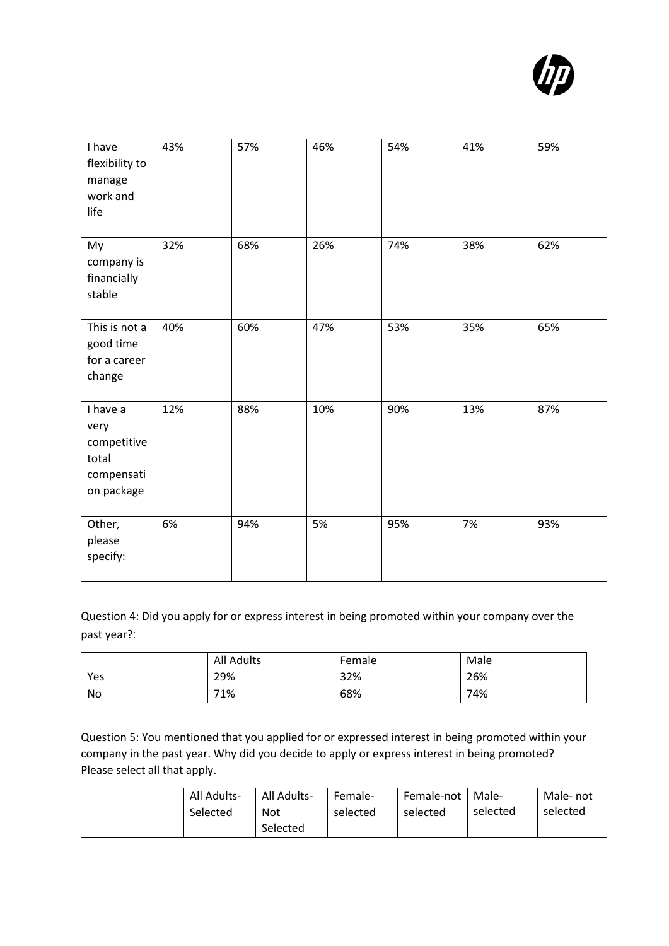

| I have<br>flexibility to<br>manage<br>work and<br>life               | 43% | 57% | 46% | 54% | 41% | 59% |
|----------------------------------------------------------------------|-----|-----|-----|-----|-----|-----|
| My<br>company is<br>financially<br>stable                            | 32% | 68% | 26% | 74% | 38% | 62% |
| This is not a<br>good time<br>for a career<br>change                 | 40% | 60% | 47% | 53% | 35% | 65% |
| I have a<br>very<br>competitive<br>total<br>compensati<br>on package | 12% | 88% | 10% | 90% | 13% | 87% |
| Other,<br>please<br>specify:                                         | 6%  | 94% | 5%  | 95% | 7%  | 93% |

Question 4: Did you apply for or express interest in being promoted within your company over the past year?:

|     | <b>All Adults</b> | Female | Male |
|-----|-------------------|--------|------|
| Yes | 29%               | 32%    | 26%  |
| No  | 71%               | 68%    | 74%  |

Question 5: You mentioned that you applied for or expressed interest in being promoted within your company in the past year. Why did you decide to apply or express interest in being promoted? Please select all that apply.

| All Adults- | All Adults- | Female-  | Female-not | Male-    | Male- not |
|-------------|-------------|----------|------------|----------|-----------|
| Selected    | <b>Not</b>  | selected | selected   | selected | selected  |
|             | Selected    |          |            |          |           |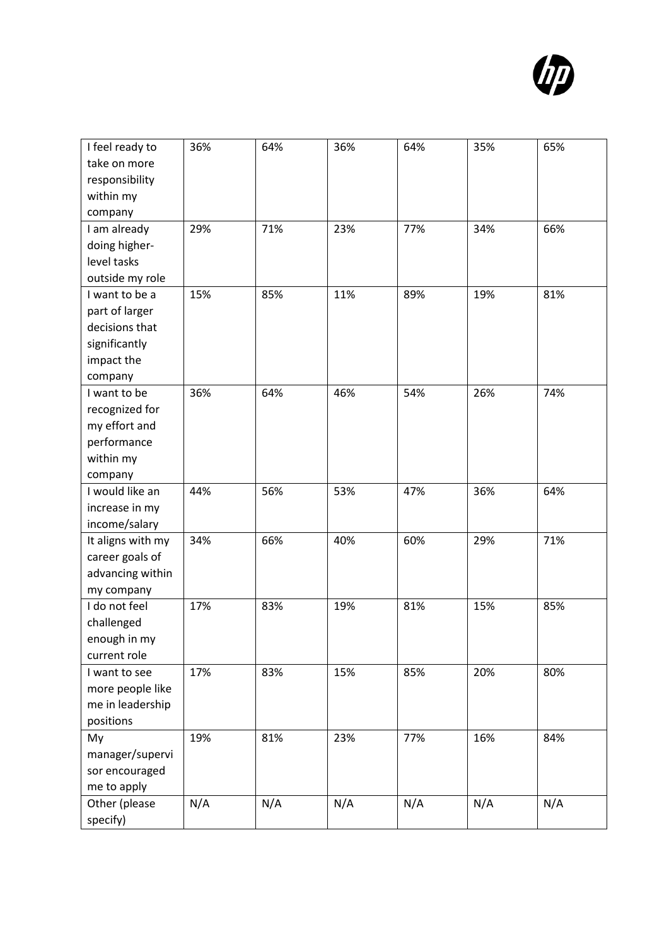

| I feel ready to<br>take on more | 36% | 64% | 36% | 64% | 35% | 65% |
|---------------------------------|-----|-----|-----|-----|-----|-----|
| responsibility                  |     |     |     |     |     |     |
| within my                       |     |     |     |     |     |     |
| company                         |     |     |     |     |     |     |
| I am already                    | 29% | 71% | 23% | 77% | 34% | 66% |
| doing higher-                   |     |     |     |     |     |     |
| level tasks                     |     |     |     |     |     |     |
| outside my role                 |     |     |     |     |     |     |
| I want to be a                  | 15% | 85% | 11% | 89% | 19% | 81% |
| part of larger                  |     |     |     |     |     |     |
| decisions that                  |     |     |     |     |     |     |
| significantly                   |     |     |     |     |     |     |
| impact the                      |     |     |     |     |     |     |
| company                         |     |     |     |     |     |     |
| I want to be                    | 36% | 64% | 46% | 54% | 26% | 74% |
| recognized for                  |     |     |     |     |     |     |
| my effort and                   |     |     |     |     |     |     |
| performance                     |     |     |     |     |     |     |
| within my                       |     |     |     |     |     |     |
| company                         |     |     |     |     |     |     |
| I would like an                 | 44% | 56% | 53% | 47% | 36% | 64% |
| increase in my                  |     |     |     |     |     |     |
| income/salary                   |     |     |     |     |     |     |
| It aligns with my               | 34% | 66% | 40% | 60% | 29% | 71% |
| career goals of                 |     |     |     |     |     |     |
| advancing within                |     |     |     |     |     |     |
| my company                      |     |     |     |     |     |     |
| I do not feel                   | 17% | 83% | 19% | 81% | 15% | 85% |
| challenged                      |     |     |     |     |     |     |
| enough in my                    |     |     |     |     |     |     |
| current role                    |     |     |     |     |     |     |
| I want to see                   | 17% | 83% | 15% | 85% | 20% | 80% |
| more people like                |     |     |     |     |     |     |
| me in leadership                |     |     |     |     |     |     |
| positions                       |     |     |     |     |     |     |
| My                              | 19% | 81% | 23% | 77% | 16% | 84% |
| manager/supervi                 |     |     |     |     |     |     |
| sor encouraged                  |     |     |     |     |     |     |
| me to apply                     |     |     |     |     |     |     |
| Other (please                   | N/A | N/A | N/A | N/A | N/A | N/A |
| specify)                        |     |     |     |     |     |     |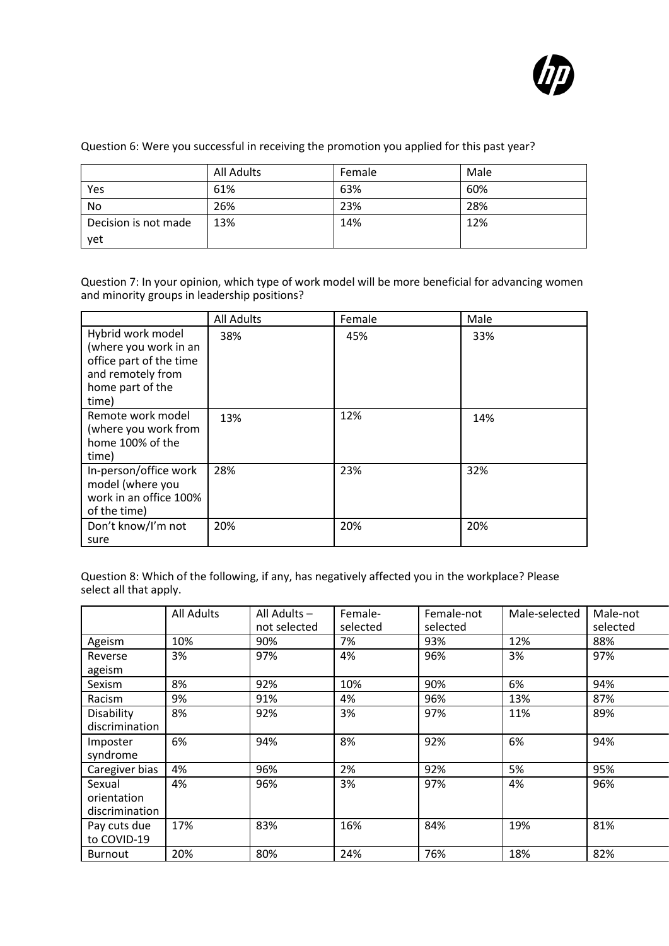

|  | Question 6: Were you successful in receiving the promotion you applied for this past year? |  |  |  |  |
|--|--------------------------------------------------------------------------------------------|--|--|--|--|
|--|--------------------------------------------------------------------------------------------|--|--|--|--|

|                      | <b>All Adults</b> | Female | Male |
|----------------------|-------------------|--------|------|
| Yes                  | 61%               | 63%    | 60%  |
| No                   | 26%               | 23%    | 28%  |
| Decision is not made | 13%               | 14%    | 12%  |
| yet                  |                   |        |      |

Question 7: In your opinion, which type of work model will be more beneficial for advancing women and minority groups in leadership positions?

|                                                                                                                         | <b>All Adults</b> | Female | Male |
|-------------------------------------------------------------------------------------------------------------------------|-------------------|--------|------|
| Hybrid work model<br>(where you work in an<br>office part of the time<br>and remotely from<br>home part of the<br>time) | 38%               | 45%    | 33%  |
| Remote work model<br>(where you work from<br>home 100% of the<br>time)                                                  | 13%               | 12%    | 14%  |
| In-person/office work<br>model (where you<br>work in an office 100%<br>of the time)                                     | 28%               | 23%    | 32%  |
| Don't know/I'm not<br>sure                                                                                              | 20%               | 20%    | 20%  |

Question 8: Which of the following, if any, has negatively affected you in the workplace? Please select all that apply.

|                                         | <b>All Adults</b> | All Adults -<br>not selected | Female-<br>selected | Female-not<br>selected | Male-selected | Male-not<br>selected |
|-----------------------------------------|-------------------|------------------------------|---------------------|------------------------|---------------|----------------------|
| Ageism                                  | 10%               | 90%                          | 7%                  | 93%                    | 12%           | 88%                  |
| Reverse<br>ageism                       | 3%                | 97%                          | 4%                  | 96%                    | 3%            | 97%                  |
| Sexism                                  | 8%                | 92%                          | 10%                 | 90%                    | 6%            | 94%                  |
| Racism                                  | 9%                | 91%                          | 4%                  | 96%                    | 13%           | 87%                  |
| Disability<br>discrimination            | 8%                | 92%                          | 3%                  | 97%                    | 11%           | 89%                  |
| Imposter<br>syndrome                    | 6%                | 94%                          | 8%                  | 92%                    | 6%            | 94%                  |
| Caregiver bias                          | 4%                | 96%                          | 2%                  | 92%                    | 5%            | 95%                  |
| Sexual<br>orientation<br>discrimination | 4%                | 96%                          | 3%                  | 97%                    | 4%            | 96%                  |
| Pay cuts due<br>to COVID-19             | 17%               | 83%                          | 16%                 | 84%                    | 19%           | 81%                  |
| <b>Burnout</b>                          | 20%               | 80%                          | 24%                 | 76%                    | 18%           | 82%                  |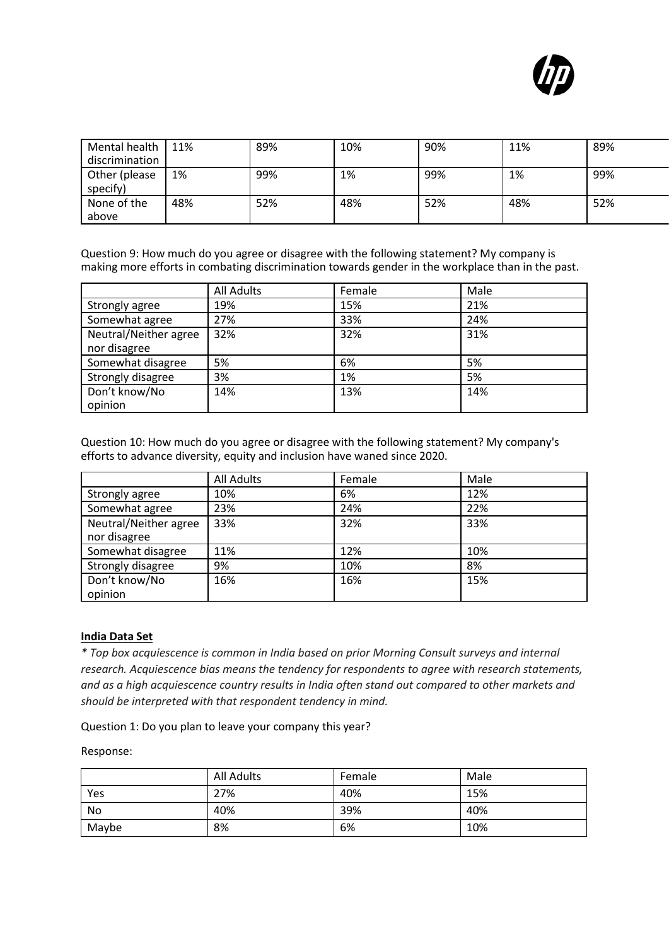

| Mental health  | 11% | 89% | 10% | 90% | 11% | 89% |
|----------------|-----|-----|-----|-----|-----|-----|
| discrimination |     |     |     |     |     |     |
| Other (please  | 1%  | 99% | 1%  | 99% | 1%  | 99% |
| specify)       |     |     |     |     |     |     |
| None of the    | 48% | 52% | 48% | 52% | 48% | 52% |
| above          |     |     |     |     |     |     |

Question 9: How much do you agree or disagree with the following statement? My company is making more efforts in combating discrimination towards gender in the workplace than in the past.

|                       | <b>All Adults</b> | Female | Male |
|-----------------------|-------------------|--------|------|
| Strongly agree        | 19%               | 15%    | 21%  |
| Somewhat agree        | 27%               | 33%    | 24%  |
| Neutral/Neither agree | 32%               | 32%    | 31%  |
| nor disagree          |                   |        |      |
| Somewhat disagree     | 5%                | 6%     | 5%   |
| Strongly disagree     | 3%                | 1%     | 5%   |
| Don't know/No         | 14%               | 13%    | 14%  |
| opinion               |                   |        |      |

Question 10: How much do you agree or disagree with the following statement? My company's efforts to advance diversity, equity and inclusion have waned since 2020.

|                       | <b>All Adults</b> | Female | Male |
|-----------------------|-------------------|--------|------|
| Strongly agree        | 10%               | 6%     | 12%  |
| Somewhat agree        | 23%               | 24%    | 22%  |
| Neutral/Neither agree | 33%               | 32%    | 33%  |
| nor disagree          |                   |        |      |
| Somewhat disagree     | 11%               | 12%    | 10%  |
| Strongly disagree     | 9%                | 10%    | 8%   |
| Don't know/No         | 16%               | 16%    | 15%  |
| opinion               |                   |        |      |

#### <span id="page-22-0"></span>**India Data Set**

*\* Top box acquiescence is common in India based on prior Morning Consult surveys and internal research. Acquiescence bias means the tendency for respondents to agree with research statements, and as a high acquiescence country results in India often stand out compared to other markets and should be interpreted with that respondent tendency in mind.*

Question 1: Do you plan to leave your company this year?

#### Response:

|       | All Adults | Female | Male |
|-------|------------|--------|------|
| Yes   | 27%        | 40%    | 15%  |
| No    | 40%        | 39%    | 40%  |
| Maybe | 8%         | 6%     | 10%  |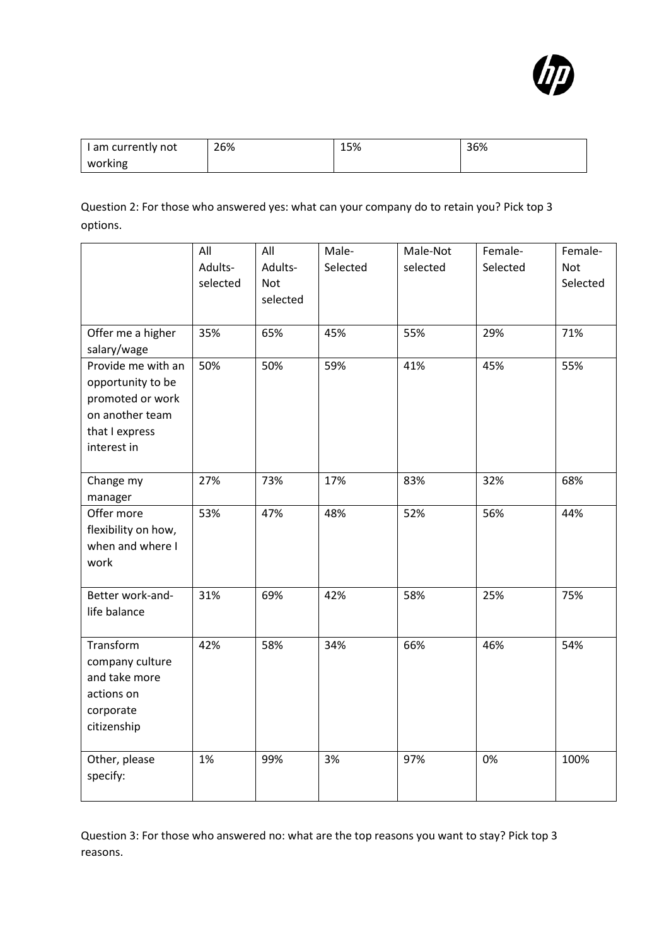

| I am currently not | 26% | 15% | 36% |
|--------------------|-----|-----|-----|
| working            |     |     |     |

Question 2: For those who answered yes: what can your company do to retain you? Pick top 3 options.

|                                                                                                                 | All<br>Adults-<br>selected | All<br>Adults-<br>Not<br>selected | Male-<br>Selected | Male-Not<br>selected | Female-<br>Selected | Female-<br>Not<br>Selected |
|-----------------------------------------------------------------------------------------------------------------|----------------------------|-----------------------------------|-------------------|----------------------|---------------------|----------------------------|
| Offer me a higher<br>salary/wage                                                                                | 35%                        | 65%                               | 45%               | 55%                  | 29%                 | 71%                        |
| Provide me with an<br>opportunity to be<br>promoted or work<br>on another team<br>that I express<br>interest in | 50%                        | 50%                               | 59%               | 41%                  | 45%                 | 55%                        |
| Change my<br>manager                                                                                            | 27%                        | 73%                               | 17%               | 83%                  | 32%                 | 68%                        |
| Offer more<br>flexibility on how,<br>when and where I<br>work                                                   | 53%                        | 47%                               | 48%               | 52%                  | 56%                 | 44%                        |
| Better work-and-<br>life balance                                                                                | 31%                        | 69%                               | 42%               | 58%                  | 25%                 | 75%                        |
| Transform<br>company culture<br>and take more<br>actions on<br>corporate<br>citizenship                         | 42%                        | 58%                               | 34%               | 66%                  | 46%                 | 54%                        |
| Other, please<br>specify:                                                                                       | 1%                         | 99%                               | 3%                | 97%                  | 0%                  | 100%                       |

Question 3: For those who answered no: what are the top reasons you want to stay? Pick top 3 reasons.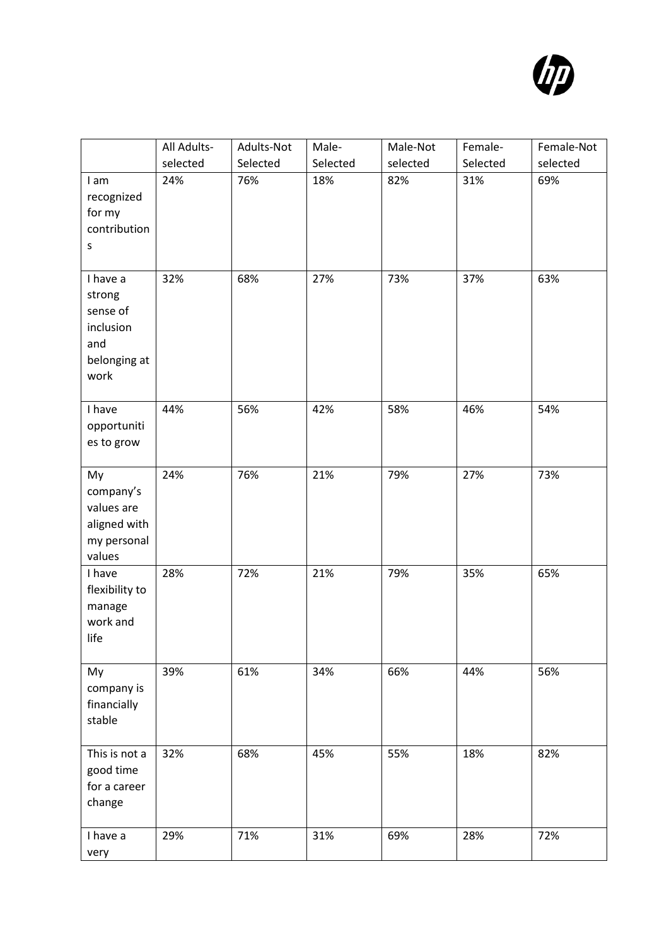

|                                                                            | All Adults-<br>selected | Adults-Not<br>Selected | Male-<br>Selected | Male-Not<br>selected | Female-<br>Selected | Female-Not<br>selected |
|----------------------------------------------------------------------------|-------------------------|------------------------|-------------------|----------------------|---------------------|------------------------|
| I am<br>recognized<br>for my<br>contribution<br>S                          | 24%                     | 76%                    | 18%               | 82%                  | 31%                 | 69%                    |
| I have a<br>strong<br>sense of<br>inclusion<br>and<br>belonging at<br>work | 32%                     | 68%                    | 27%               | 73%                  | 37%                 | 63%                    |
| I have<br>opportuniti<br>es to grow                                        | 44%                     | 56%                    | 42%               | 58%                  | 46%                 | 54%                    |
| My<br>company's<br>values are<br>aligned with<br>my personal<br>values     | 24%                     | 76%                    | 21%               | 79%                  | 27%                 | 73%                    |
| I have<br>flexibility to<br>manage<br>work and<br>life                     | 28%                     | 72%                    | 21%               | 79%                  | 35%                 | 65%                    |
| My<br>company is<br>financially<br>stable                                  | 39%                     | 61%                    | 34%               | 66%                  | 44%                 | 56%                    |
| This is not a<br>good time<br>for a career<br>change                       | 32%                     | 68%                    | 45%               | 55%                  | 18%                 | 82%                    |
| I have a<br>very                                                           | 29%                     | 71%                    | 31%               | 69%                  | 28%                 | 72%                    |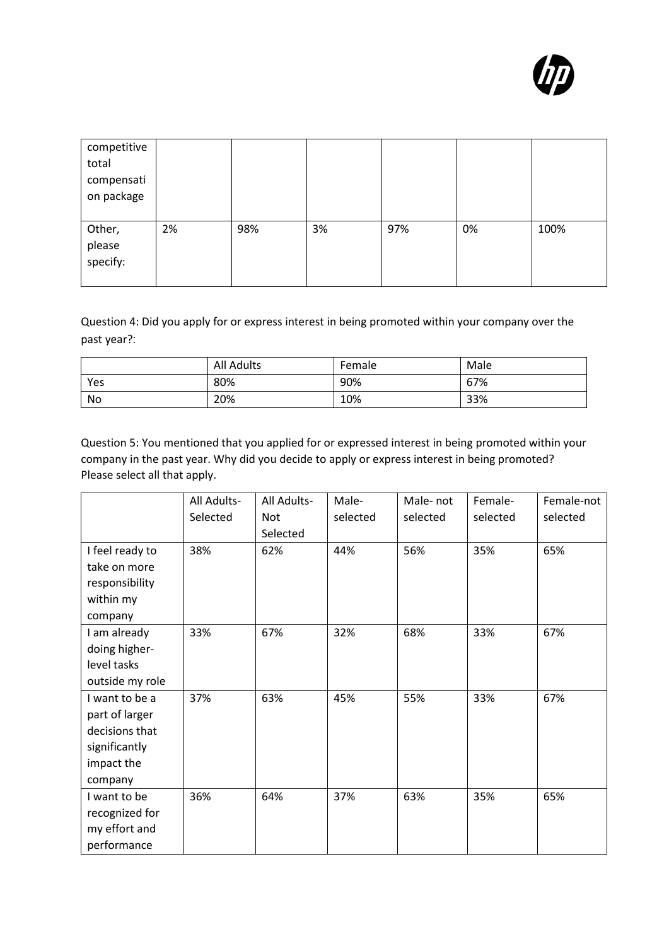| competitive<br>total<br>compensati<br>on package |    |     |    |     |    |      |
|--------------------------------------------------|----|-----|----|-----|----|------|
| Other,<br>please<br>specify:                     | 2% | 98% | 3% | 97% | 0% | 100% |

Question 4: Did you apply for or express interest in being promoted within your company over the past year?:

|     | <b>All Adults</b> | Female | Male |
|-----|-------------------|--------|------|
| Yes | 80%               | 90%    | 67%  |
| No  | 20%               | 10%    | 33%  |

Question 5: You mentioned that you applied for or expressed interest in being promoted within your company in the past year. Why did you decide to apply or express interest in being promoted? Please select all that apply.

|                 | All Adults- | All Adults- | Male-    | Male-not | Female-  | Female-not |
|-----------------|-------------|-------------|----------|----------|----------|------------|
|                 | Selected    | Not         | selected | selected | selected | selected   |
|                 |             | Selected    |          |          |          |            |
| I feel ready to | 38%         | 62%         | 44%      | 56%      | 35%      | 65%        |
| take on more    |             |             |          |          |          |            |
| responsibility  |             |             |          |          |          |            |
| within my       |             |             |          |          |          |            |
| company         |             |             |          |          |          |            |
| I am already    | 33%         | 67%         | 32%      | 68%      | 33%      | 67%        |
| doing higher-   |             |             |          |          |          |            |
| level tasks     |             |             |          |          |          |            |
| outside my role |             |             |          |          |          |            |
| I want to be a  | 37%         | 63%         | 45%      | 55%      | 33%      | 67%        |
| part of larger  |             |             |          |          |          |            |
| decisions that  |             |             |          |          |          |            |
| significantly   |             |             |          |          |          |            |
| impact the      |             |             |          |          |          |            |
| company         |             |             |          |          |          |            |
| I want to be    | 36%         | 64%         | 37%      | 63%      | 35%      | 65%        |
| recognized for  |             |             |          |          |          |            |
| my effort and   |             |             |          |          |          |            |
| performance     |             |             |          |          |          |            |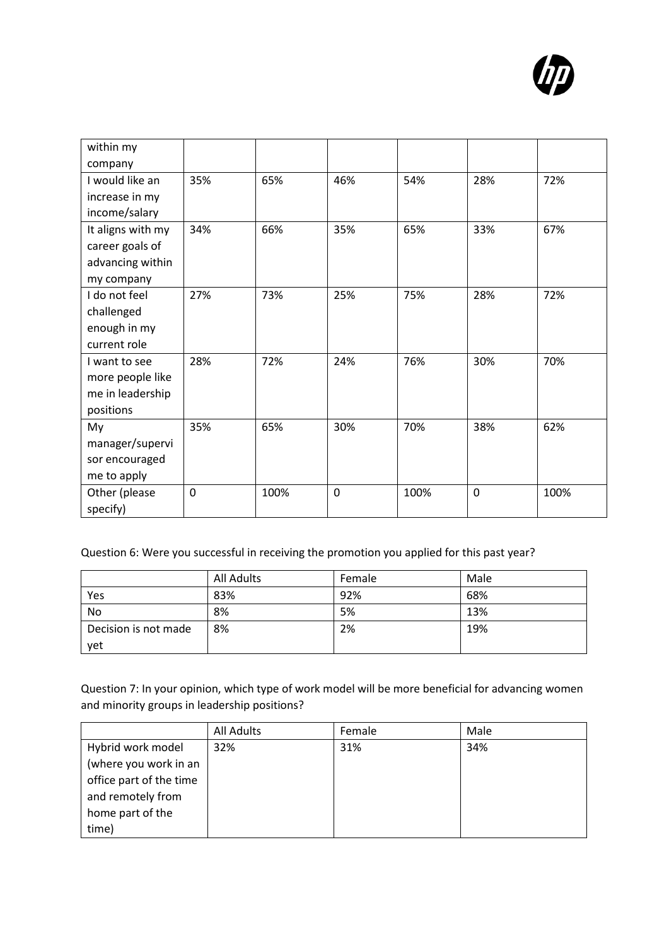

| within my         |     |      |     |      |             |      |
|-------------------|-----|------|-----|------|-------------|------|
| company           |     |      |     |      |             |      |
| I would like an   | 35% | 65%  | 46% | 54%  | 28%         | 72%  |
| increase in my    |     |      |     |      |             |      |
| income/salary     |     |      |     |      |             |      |
| It aligns with my | 34% | 66%  | 35% | 65%  | 33%         | 67%  |
| career goals of   |     |      |     |      |             |      |
| advancing within  |     |      |     |      |             |      |
| my company        |     |      |     |      |             |      |
| I do not feel     | 27% | 73%  | 25% | 75%  | 28%         | 72%  |
| challenged        |     |      |     |      |             |      |
| enough in my      |     |      |     |      |             |      |
| current role      |     |      |     |      |             |      |
| I want to see     | 28% | 72%  | 24% | 76%  | 30%         | 70%  |
| more people like  |     |      |     |      |             |      |
| me in leadership  |     |      |     |      |             |      |
| positions         |     |      |     |      |             |      |
| My                | 35% | 65%  | 30% | 70%  | 38%         | 62%  |
| manager/supervi   |     |      |     |      |             |      |
| sor encouraged    |     |      |     |      |             |      |
| me to apply       |     |      |     |      |             |      |
| Other (please     | 0   | 100% | 0   | 100% | $\mathbf 0$ | 100% |
| specify)          |     |      |     |      |             |      |

Question 6: Were you successful in receiving the promotion you applied for this past year?

|                      | All Adults | Female | Male |
|----------------------|------------|--------|------|
| Yes                  | 83%        | 92%    | 68%  |
| No                   | 8%         | 5%     | 13%  |
| Decision is not made | 8%         | 2%     | 19%  |
| yet                  |            |        |      |

Question 7: In your opinion, which type of work model will be more beneficial for advancing women and minority groups in leadership positions?

|                         | All Adults | Female | Male |
|-------------------------|------------|--------|------|
| Hybrid work model       | 32%        | 31%    | 34%  |
| (where you work in an   |            |        |      |
| office part of the time |            |        |      |
| and remotely from       |            |        |      |
| home part of the        |            |        |      |
| time)                   |            |        |      |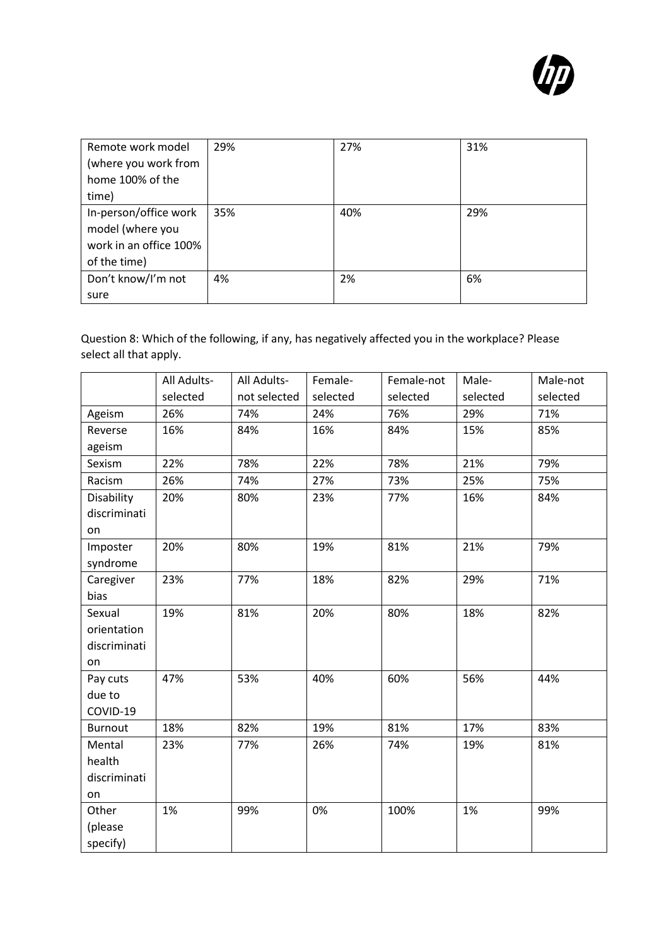

| Remote work model      | 29% | 27% | 31% |
|------------------------|-----|-----|-----|
| (where you work from   |     |     |     |
| home 100% of the       |     |     |     |
| time)                  |     |     |     |
| In-person/office work  | 35% | 40% | 29% |
| model (where you       |     |     |     |
| work in an office 100% |     |     |     |
| of the time)           |     |     |     |
| Don't know/I'm not     | 4%  | 2%  | 6%  |
| sure                   |     |     |     |

Question 8: Which of the following, if any, has negatively affected you in the workplace? Please select all that apply.

|                | All Adults- | All Adults-  | Female-  | Female-not | Male-    | Male-not |
|----------------|-------------|--------------|----------|------------|----------|----------|
|                | selected    | not selected | selected | selected   | selected | selected |
| Ageism         | 26%         | 74%          | 24%      | 76%        | 29%      | 71%      |
| Reverse        | 16%         | 84%          | 16%      | 84%        | 15%      | 85%      |
| ageism         |             |              |          |            |          |          |
| Sexism         | 22%         | 78%          | 22%      | 78%        | 21%      | 79%      |
| Racism         | 26%         | 74%          | 27%      | 73%        | 25%      | 75%      |
| Disability     | 20%         | 80%          | 23%      | 77%        | 16%      | 84%      |
| discriminati   |             |              |          |            |          |          |
| on             |             |              |          |            |          |          |
| Imposter       | 20%         | 80%          | 19%      | 81%        | 21%      | 79%      |
| syndrome       |             |              |          |            |          |          |
| Caregiver      | 23%         | 77%          | 18%      | 82%        | 29%      | 71%      |
| bias           |             |              |          |            |          |          |
| Sexual         | 19%         | 81%          | 20%      | 80%        | 18%      | 82%      |
| orientation    |             |              |          |            |          |          |
| discriminati   |             |              |          |            |          |          |
| on             |             |              |          |            |          |          |
| Pay cuts       | 47%         | 53%          | 40%      | 60%        | 56%      | 44%      |
| due to         |             |              |          |            |          |          |
| COVID-19       |             |              |          |            |          |          |
| <b>Burnout</b> | 18%         | 82%          | 19%      | 81%        | 17%      | 83%      |
| Mental         | 23%         | 77%          | 26%      | 74%        | 19%      | 81%      |
| health         |             |              |          |            |          |          |
| discriminati   |             |              |          |            |          |          |
| on             |             |              |          |            |          |          |
| Other          | 1%          | 99%          | 0%       | 100%       | 1%       | 99%      |
| (please        |             |              |          |            |          |          |
| specify)       |             |              |          |            |          |          |